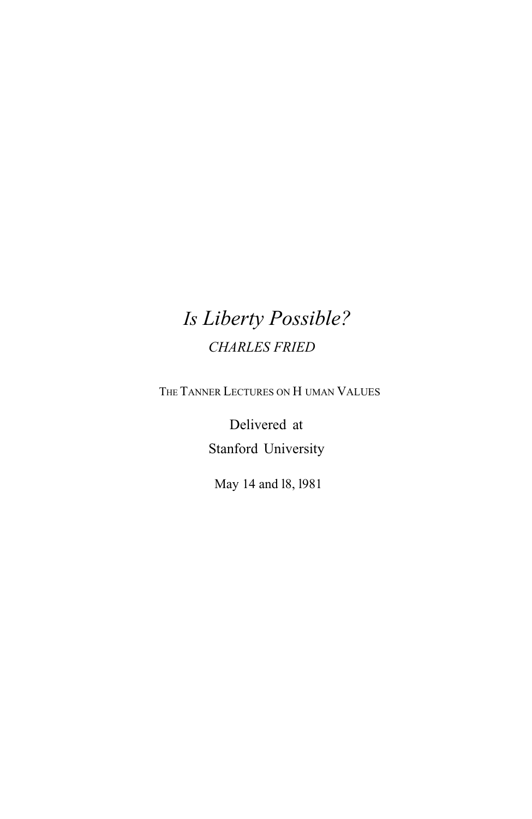## *Is Liberty Possible? CHARLES FRIED*

THE TANNER LECTURES ON H UMAN VALUES

Delivered at Stanford University

May 14 and l8, l981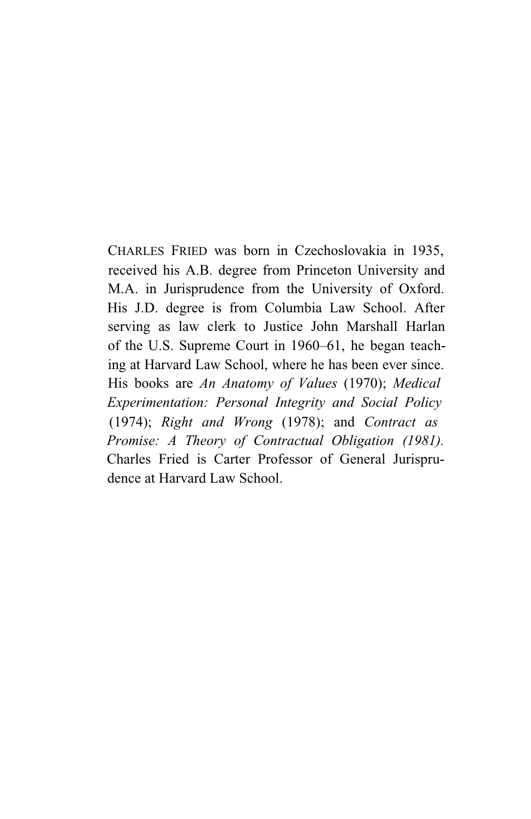CHARLES FRIED was born in Czechoslovakia in 1935, received his A.B. degree from Princeton University and M.A. in Jurisprudence from the University of Oxford. His J.D. degree is from Columbia Law School. After serving as law clerk to Justice John Marshall Harlan of the U.S. Supreme Court in 1960–61, he began teaching at Harvard Law School, where he has been ever since. His books are *An Anatomy of Values* (1970); *Medical Experimentation: Personal Integrity and Social Policy* (1974); *Right and Wrong* (1978); and *Contract as Promise: A Theory of Contractual Obligation (1981).* Charles Fried is Carter Professor of General Jurisprudence at Harvard Law School.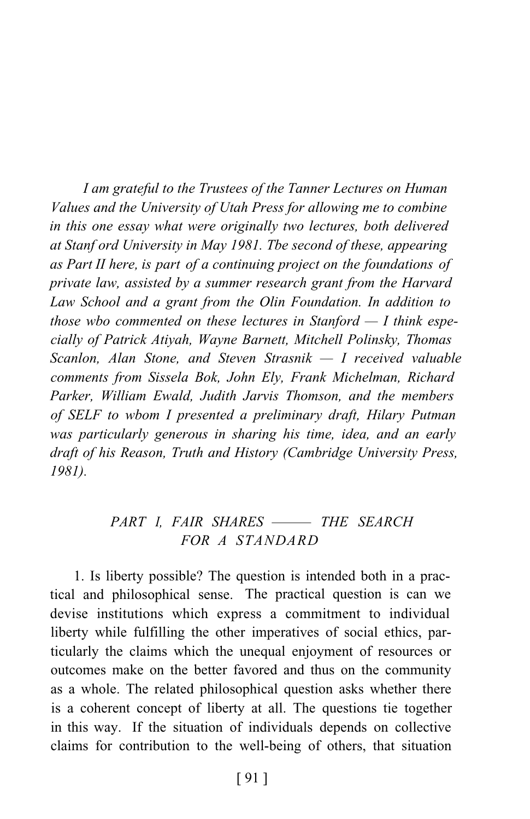*Values and the University of Utah Press for allowing me to combine in this one essay what were originally two lectures, both delivered at Stanf ord University in May 1981. Tbe second of these, appearing as Part II here, is part of a continuing project on the foundations of private law, assisted by a summer research grant from the Harvard Law School and a grant from the Olin Foundation. In addition to those wbo commented on these lectures in Stanford — I think especially of Patrick Atiyah, Wayne Barnett, Mitchell Polinsky, Thomas Scanlon, Alan Stone, and Steven Strasnik — I received valuable comments from Sissela Bok, John Ely, Frank Michelman, Richard Parker, William Ewald, Judith Jarvis Thomson, and the members of SELF to wbom I presented a preliminary draft, Hilary Putman was particularly generous in sharing his time, idea, and an early draft of his Reason, Truth and History (Cambridge University Press, 1981). I am grateful to the Trustees of the Tanner Lectures on Human*

## *PART I, FAIR SHARES — THE SEARCH FOR A STANDARD*

1. Is liberty possible? The question is intended both in a practical and philosophical sense. The practical question is can we devise institutions which express a commitment to individual liberty while fulfilling the other imperatives of social ethics, particularly the claims which the unequal enjoyment of resources or outcomes make on the better favored and thus on the community as a whole. The related philosophical question asks whether there is a coherent concept of liberty at all. The questions tie together in this way. If the situation of individuals depends on collective claims for contribution to the well-being of others, that situation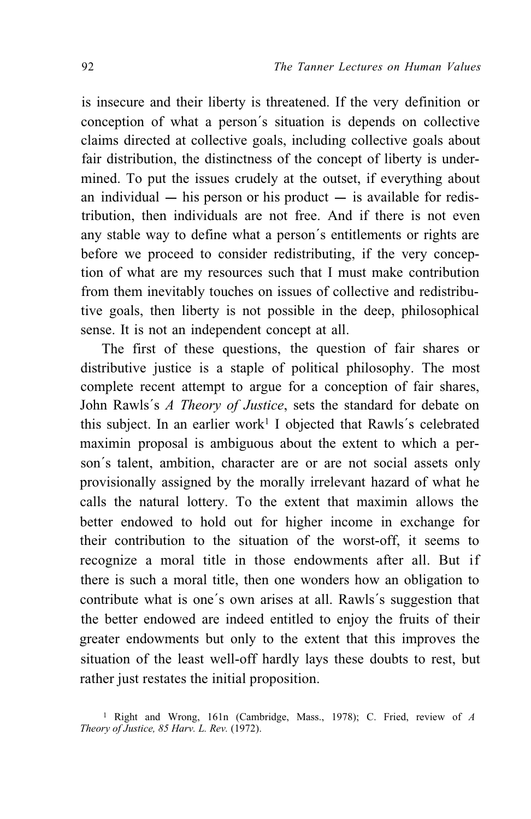is insecure and their liberty is threatened. If the very definition or conception of what a person´s situation is depends on collective claims directed at collective goals, including collective goals about fair distribution, the distinctness of the concept of liberty is undermined. To put the issues crudely at the outset, if everything about an individual  $-$  his person or his product  $-$  is available for redistribution, then individuals are not free. And if there is not even any stable way to define what a person´s entitlements or rights are before we proceed to consider redistributing, if the very conception of what are my resources such that I must make contribution from them inevitably touches on issues of collective and redistributive goals, then liberty is not possible in the deep, philosophical sense. It is not an independent concept at all.

The first of these questions, the question of fair shares or distributive justice is a staple of political philosophy. The most complete recent attempt to argue for a conception of fair shares, John Rawls´s *A Theory of Justice*, sets the standard for debate on this subject. In an earlier work<sup>1</sup> I objected that Rawls's celebrated maximin proposal is ambiguous about the extent to which a person's talent, ambition, character are or are not social assets only provisionally assigned by the morally irrelevant hazard of what he calls the natural lottery. To the extent that maximin allows the better endowed to hold out for higher income in exchange for their contribution to the situation of the worst-off, it seems to recognize a moral title in those endowments after all. But if there is such a moral title, then one wonders how an obligation to contribute what is one´s own arises at all. Rawls´s suggestion that the better endowed are indeed entitled to enjoy the fruits of their greater endowments but only to the extent that this improves the situation of the least well-off hardly lays these doubts to rest, but rather just restates the initial proposition.

<sup>1</sup> Right and Wrong, 161n (Cambridge, Mass., 1978); C. Fried, review of *A Theory of Justice, 85 Harv. L. Rev.* (1972).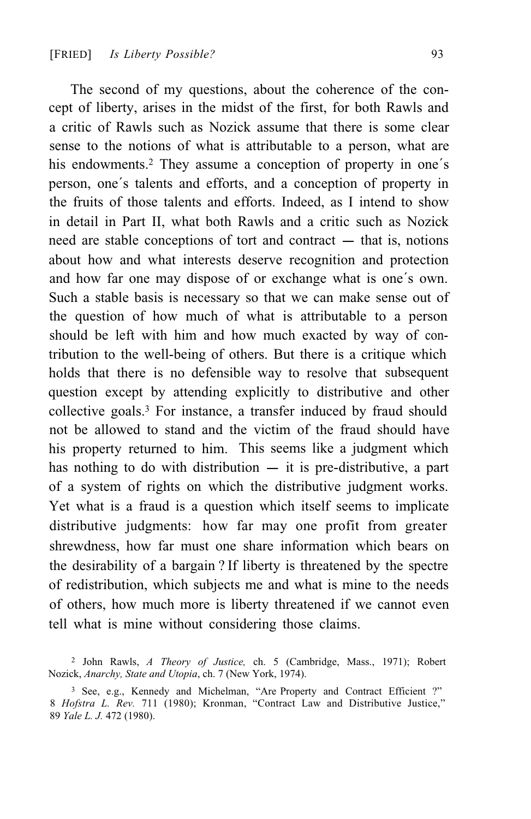The second of my questions, about the coherence of the concept of liberty, arises in the midst of the first, for both Rawls and a critic of Rawls such as Nozick assume that there is some clear sense to the notions of what is attributable to a person, what are his endowments.<sup>2</sup> They assume a conception of property in one's person, one´s talents and efforts, and a conception of property in the fruits of those talents and efforts. Indeed, as I intend to show in detail in Part II, what both Rawls and a critic such as Nozick need are stable conceptions of tort and contract  $-$  that is, notions about how and what interests deserve recognition and protection and how far one may dispose of or exchange what is one´s own. Such a stable basis is necessary so that we can make sense out of the question of how much of what is attributable to a person should be left with him and how much exacted by way of contribution to the well-being of others. But there is a critique which holds that there is no defensible way to resolve that subsequent question except by attending explicitly to distributive and other collective goals.3 For instance, a transfer induced by fraud should not be allowed to stand and the victim of the fraud should have his property returned to him. This seems like a judgment which has nothing to do with distribution — it is pre-distributive, a part of a system of rights on which the distributive judgment works. Yet what is a fraud is a question which itself seems to implicate distributive judgments: how far may one profit from greater shrewdness, how far must one share information which bears on the desirability of a bargain ? If liberty is threatened by the spectre of redistribution, which subjects me and what is mine to the needs of others, how much more is liberty threatened if we cannot even tell what is mine without considering those claims.

<sup>2</sup> John Rawls, *A Theory of Justice,* ch. 5 (Cambridge, Mass., 1971); Robert Nozick, *Anarchy, State and Utopia*, ch. 7 (New York, 1974).

<sup>&</sup>lt;sup>3</sup> See, e.g., Kennedy and Michelman, "Are Property and Contract Efficient ?" 8 *Hofstra L. Rev.* 711 (1980); Kronman, "Contract Law and Distributive Justice," 89 *Yale L. J.* 472 (1980).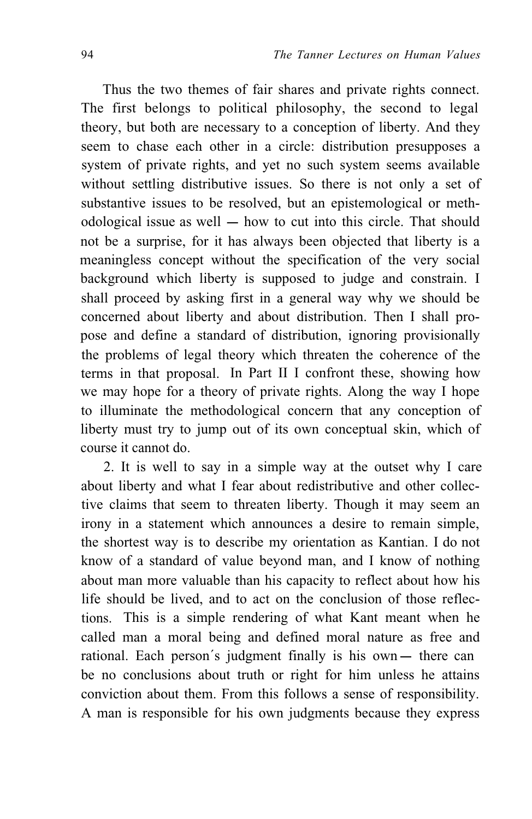Thus the two themes of fair shares and private rights connect. The first belongs to political philosophy, the second to legal theory, but both are necessary to a conception of liberty. And they seem to chase each other in a circle: distribution presupposes a system of private rights, and yet no such system seems available without settling distributive issues. So there is not only a set of substantive issues to be resolved, but an epistemological or meth-<br>odological issue as well — how to cut into this circle. That should not be a surprise, for it has always been objected that liberty is a meaningless concept without the specification of the very social background which liberty is supposed to judge and constrain. I shall proceed by asking first in a general way why we should be concerned about liberty and about distribution. Then I shall propose and define a standard of distribution, ignoring provisionally the problems of legal theory which threaten the coherence of the terms in that proposal. In Part II I confront these, showing how we may hope for a theory of private rights. Along the way I hope to illuminate the methodological concern that any conception of liberty must try to jump out of its own conceptual skin, which of course it cannot do.

2. It is well to say in a simple way at the outset why I care about liberty and what I fear about redistributive and other collective claims that seem to threaten liberty. Though it may seem an irony in a statement which announces a desire to remain simple, the shortest way is to describe my orientation as Kantian. I do not know of a standard of value beyond man, and I know of nothing about man more valuable than his capacity to reflect about how his life should be lived, and to act on the conclusion of those reflections. This is a simple rendering of what Kant meant when he called man a moral being and defined moral nature as free and rational. Each person´s judgment finally is his own- there can be no conclusions about truth or right for him unless he attains conviction about them. From this follows a sense of responsibility. A man is responsible for his own judgments because they express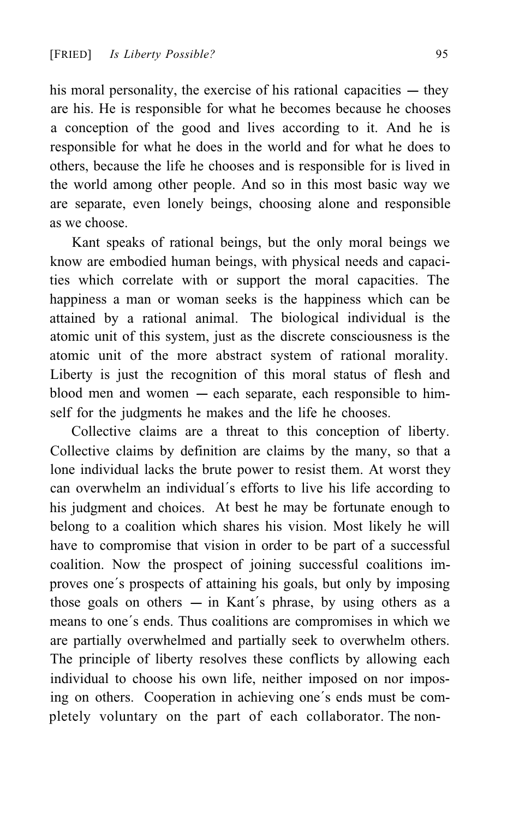his moral personality, the exercise of his rational capacities  $-$  they are his. He is responsible for what he becomes because he chooses a conception of the good and lives according to it. And he is responsible for what he does in the world and for what he does to others, because the life he chooses and is responsible for is lived in the world among other people. And so in this most basic way we are separate, even lonely beings, choosing alone and responsible as we choose.

Kant speaks of rational beings, but the only moral beings we know are embodied human beings, with physical needs and capacities which correlate with or support the moral capacities. The happiness a man or woman seeks is the happiness which can be attained by a rational animal. The biological individual is the atomic unit of this system, just as the discrete consciousness is the atomic unit of the more abstract system of rational morality. Liberty is just the recognition of this moral status of flesh and blood men and women — each separate, each responsible to himself for the judgments he makes and the life he chooses.

Collective claims are a threat to this conception of liberty. Collective claims by definition are claims by the many, so that a lone individual lacks the brute power to resist them. At worst they can overwhelm an individual´s efforts to live his life according to his judgment and choices. At best he may be fortunate enough to belong to a coalition which shares his vision. Most likely he will have to compromise that vision in order to be part of a successful coalition. Now the prospect of joining successful coalitions improves one's prospects of attaining his goals, but only by imposing<br>those goals on others — in Kant's phrase, by using others as a means to one´s ends. Thus coalitions are compromises in which we are partially overwhelmed and partially seek to overwhelm others. The principle of liberty resolves these conflicts by allowing each individual to choose his own life, neither imposed on nor imposing on others. Cooperation in achieving one´s ends must be completely voluntary on the part of each collaborator. The non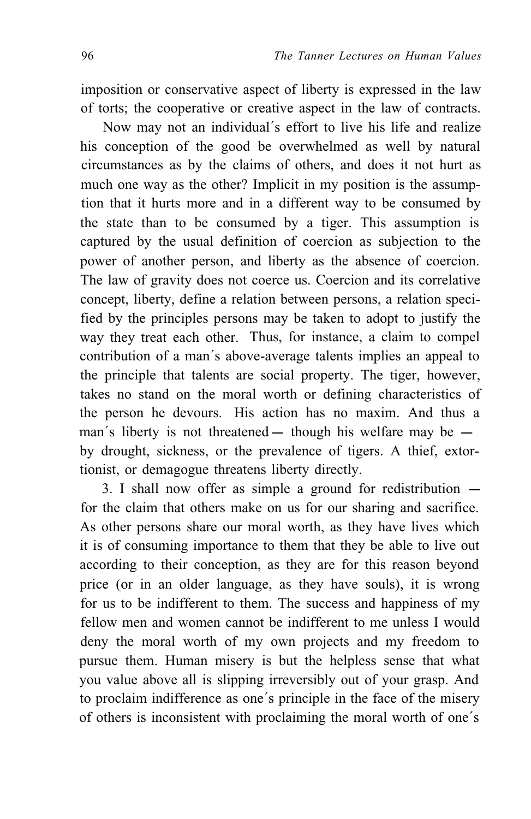imposition or conservative aspect of liberty is expressed in the law of torts; the cooperative or creative aspect in the law of contracts.

Now may not an individual´s effort to live his life and realize his conception of the good be overwhelmed as well by natural circumstances as by the claims of others, and does it not hurt as much one way as the other? Implicit in my position is the assumption that it hurts more and in a different way to be consumed by the state than to be consumed by a tiger. This assumption is captured by the usual definition of coercion as subjection to the power of another person, and liberty as the absence of coercion. The law of gravity does not coerce us. Coercion and its correlative concept, liberty, define a relation between persons, a relation specified by the principles persons may be taken to adopt to justify the way they treat each other. Thus, for instance, a claim to compel contribution of a man´s above-average talents implies an appeal to the principle that talents are social property. The tiger, however, takes no stand on the moral worth or defining characteristics of the person he devours. His action has no maxim. And thus a man's liberty is not threatened — though his welfare may be  $$ by drought, sickness, or the prevalence of tigers. A thief, extortionist, or demagogue threatens liberty directly.

3. I shall now offer as simple a ground for redistribution  $$ for the claim that others make on us for our sharing and sacrifice. As other persons share our moral worth, as they have lives which it is of consuming importance to them that they be able to live out according to their conception, as they are for this reason beyond price (or in an older language, as they have souls), it is wrong for us to be indifferent to them. The success and happiness of my fellow men and women cannot be indifferent to me unless I would deny the moral worth of my own projects and my freedom to pursue them. Human misery is but the helpless sense that what you value above all is slipping irreversibly out of your grasp. And to proclaim indifference as one´s principle in the face of the misery of others is inconsistent with proclaiming the moral worth of one´s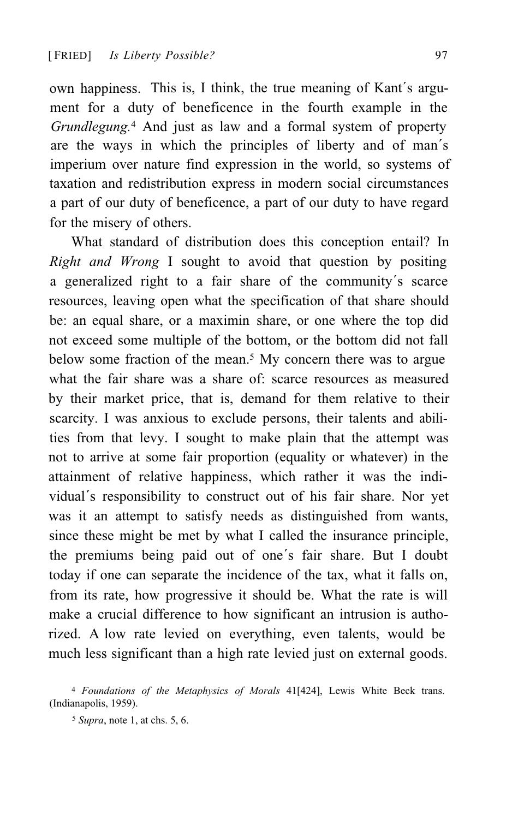own happiness. This is, I think, the true meaning of Kant´s argument for a duty of beneficence in the fourth example in the *Grundlegung.*<sup>4</sup> And just as law and a formal system of property are the ways in which the principles of liberty and of man´s imperium over nature find expression in the world, so systems of taxation and redistribution express in modern social circumstances a part of our duty of beneficence, a part of our duty to have regard for the misery of others.

What standard of distribution does this conception entail? In *Right and Wrong* I sought to avoid that question by positing a generalized right to a fair share of the community´s scarce resources, leaving open what the specification of that share should be: an equal share, or a maximin share, or one where the top did not exceed some multiple of the bottom, or the bottom did not fall below some fraction of the mean.<sup>5</sup> My concern there was to argue what the fair share was a share of: scarce resources as measured by their market price, that is, demand for them relative to their scarcity. I was anxious to exclude persons, their talents and abilities from that levy. I sought to make plain that the attempt was not to arrive at some fair proportion (equality or whatever) in the attainment of relative happiness, which rather it was the individual´s responsibility to construct out of his fair share. Nor yet was it an attempt to satisfy needs as distinguished from wants, since these might be met by what I called the insurance principle, the premiums being paid out of one´s fair share. But I doubt today if one can separate the incidence of the tax, what it falls on, from its rate, how progressive it should be. What the rate is will make a crucial difference to how significant an intrusion is authorized. A low rate levied on everything, even talents, would be much less significant than a high rate levied just on external goods.

<sup>4</sup> *Foundations of the Metaphysics of Morals* 41[424], Lewis White Beck trans. (Indianapolis, 1959).

<sup>5</sup> *Supra*, note 1, at chs. 5, 6.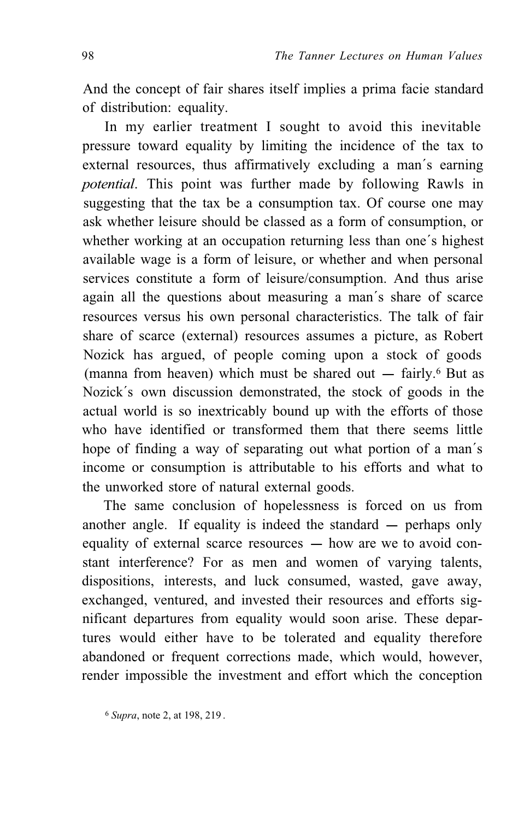And the concept of fair shares itself implies a prima facie standard of distribution: equality.

In my earlier treatment I sought to avoid this inevitable pressure toward equality by limiting the incidence of the tax to external resources, thus affirmatively excluding a man´s earning *potential*. This point was further made by following Rawls in suggesting that the tax be a consumption tax. Of course one may ask whether leisure should be classed as a form of consumption, or whether working at an occupation returning less than one's highest available wage is a form of leisure, or whether and when personal services constitute a form of leisure/consumption. And thus arise again all the questions about measuring a man´s share of scarce resources versus his own personal characteristics. The talk of fair share of scarce (external) resources assumes a picture, as Robert Nozick has argued, of people coming upon a stock of goods (manna from heaven) which must be shared out  $-$  fairly.<sup>6</sup> But as Nozick´s own discussion demonstrated, the stock of goods in the actual world is so inextricably bound up with the efforts of those who have identified or transformed them that there seems little hope of finding a way of separating out what portion of a man´s income or consumption is attributable to his efforts and what to the unworked store of natural external goods.

The same conclusion of hopelessness is forced on us from another angle. If equality is indeed the standard  $-$  perhaps only equality of external scarce resources  $-$  how are we to avoid constant interference? For as men and women of varying talents, dispositions, interests, and luck consumed, wasted, gave away, exchanged, ventured, and invested their resources and efforts significant departures from equality would soon arise. These departures would either have to be tolerated and equality therefore abandoned or frequent corrections made, which would, however, render impossible the investment and effort which the conception

<sup>6</sup> *Supra*, note 2, at 198, 219 .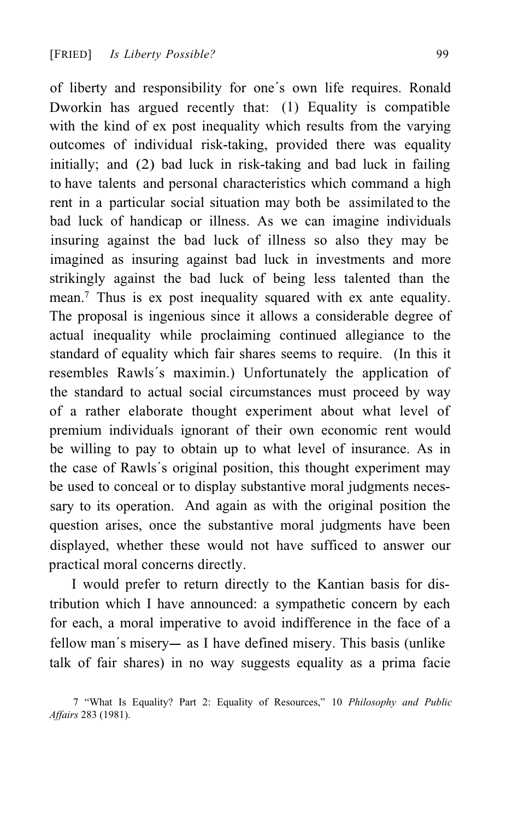of liberty and responsibility for one´s own life requires. Ronald Dworkin has argued recently that: (1) Equality is compatible with the kind of ex post inequality which results from the varying outcomes of individual risk-taking, provided there was equality initially; and (2) bad luck in risk-taking and bad luck in failing to have talents and personal characteristics which command a high rent in a particular social situation may both be assimilated to the bad luck of handicap or illness. As we can imagine individuals insuring against the bad luck of illness so also they may be imagined as insuring against bad luck in investments and more strikingly against the bad luck of being less talented than the mean.7 Thus is ex post inequality squared with ex ante equality. The proposal is ingenious since it allows a considerable degree of actual inequality while proclaiming continued allegiance to the standard of equality which fair shares seems to require. (In this it resembles Rawls´s maximin.) Unfortunately the application of the standard to actual social circumstances must proceed by way of a rather elaborate thought experiment about what level of premium individuals ignorant of their own economic rent would be willing to pay to obtain up to what level of insurance. As in the case of Rawls´s original position, this thought experiment may be used to conceal or to display substantive moral judgments necessary to its operation. And again as with the original position the question arises, once the substantive moral judgments have been displayed, whether these would not have sufficed to answer our practical moral concerns directly.

I would prefer to return directly to the Kantian basis for distribution which I have announced: a sympathetic concern by each for each, a moral imperative to avoid indifference in the face of a fellow man´s misery- as I have defined misery. This basis (unlike talk of fair shares) in no way suggests equality as a prima facie

<sup>7 &</sup>quot;What Is Equality? Part 2: Equality of Resources," 10 *Philosophy and Public Affairs* 283 (1981).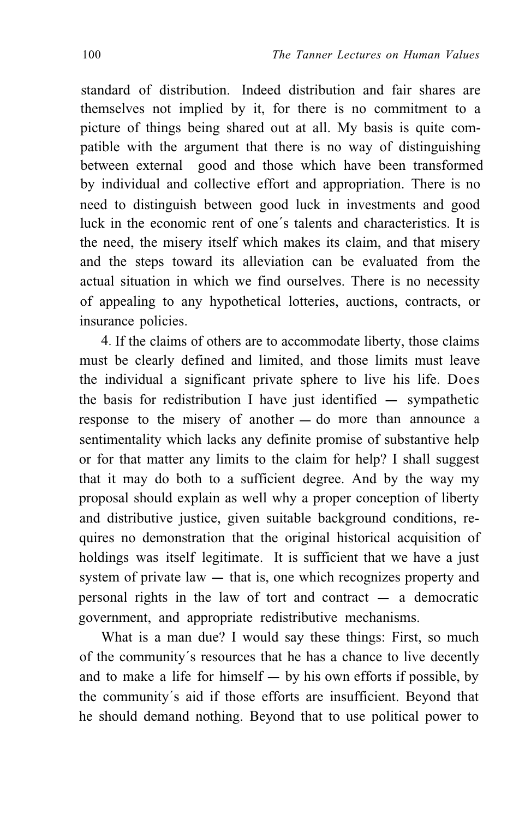standard of distribution. Indeed distribution and fair shares are themselves not implied by it, for there is no commitment to a picture of things being shared out at all. My basis is quite compatible with the argument that there is no way of distinguishing between external good and those which have been transformed by individual and collective effort and appropriation. There is no need to distinguish between good luck in investments and good luck in the economic rent of one´s talents and characteristics. It is the need, the misery itself which makes its claim, and that misery and the steps toward its alleviation can be evaluated from the actual situation in which we find ourselves. There is no necessity of appealing to any hypothetical lotteries, auctions, contracts, or insurance policies.

4. If the claims of others are to accommodate liberty, those claims must be clearly defined and limited, and those limits must leave the individual a significant private sphere to live his life. Does the basis for redistribution I have just identified  $-$  sympathetic response to the misery of another  $-$  do more than announce a sentimentality which lacks any definite promise of substantive help or for that matter any limits to the claim for help? I shall suggest that it may do both to a sufficient degree. And by the way my proposal should explain as well why a proper conception of liberty and distributive justice, given suitable background conditions, requires no demonstration that the original historical acquisition of holdings was itself legitimate. It is sufficient that we have a just system of private law  $-$  that is, one which recognizes property and personal rights in the law of tort and contract  $-$  a democratic government, and appropriate redistributive mechanisms.

What is a man due? I would say these things: First, so much of the community´s resources that he has a chance to live decently and to make a life for himself  $-$  by his own efforts if possible, by the community´s aid if those efforts are insufficient. Beyond that he should demand nothing. Beyond that to use political power to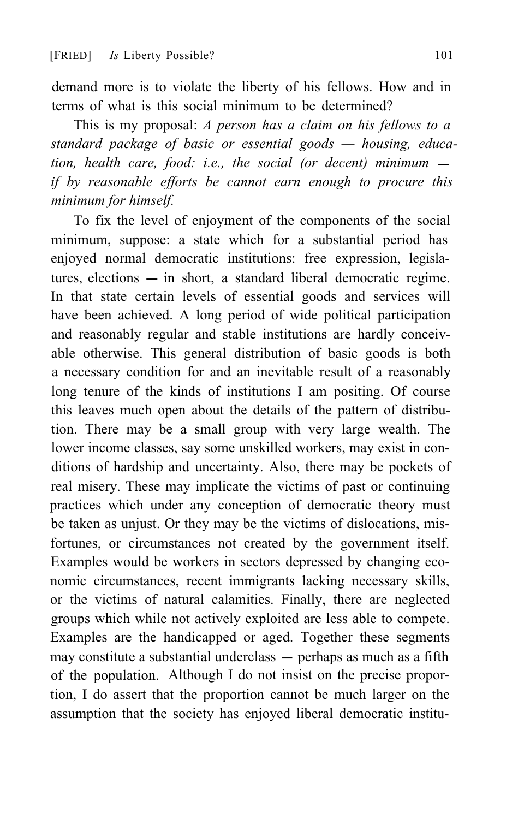demand more is to violate the liberty of his fellows. How and in terms of what is this social minimum to be determined?

This is my proposal: *A person has a claim on his fellows to a standard package of basic or essential goods — housing, educa-tion, health care, food: i.e., the social (or decent) minimum if by reasonable efforts be cannot earn enough to procure this minimum for himself.*

To fix the level of enjoyment of the components of the social minimum, suppose: a state which for a substantial period has enjoyed normal democratic institutions: free expression, legislatures, elections — in short, a standard liberal democratic regime. In that state certain levels of essential goods and services will have been achieved. A long period of wide political participation and reasonably regular and stable institutions are hardly conceivable otherwise. This general distribution of basic goods is both a necessary condition for and an inevitable result of a reasonably long tenure of the kinds of institutions I am positing. Of course this leaves much open about the details of the pattern of distribution. There may be a small group with very large wealth. The lower income classes, say some unskilled workers, may exist in conditions of hardship and uncertainty. Also, there may be pockets of real misery. These may implicate the victims of past or continuing practices which under any conception of democratic theory must be taken as unjust. Or they may be the victims of dislocations, misfortunes, or circumstances not created by the government itself. Examples would be workers in sectors depressed by changing economic circumstances, recent immigrants lacking necessary skills, or the victims of natural calamities. Finally, there are neglected groups which while not actively exploited are less able to compete. Examples are the handicapped or aged. Together these segments<br>may constitute a substantial underclass — perhaps as much as a fifth of the population. Although I do not insist on the precise proportion, I do assert that the proportion cannot be much larger on the assumption that the society has enjoyed liberal democratic institu-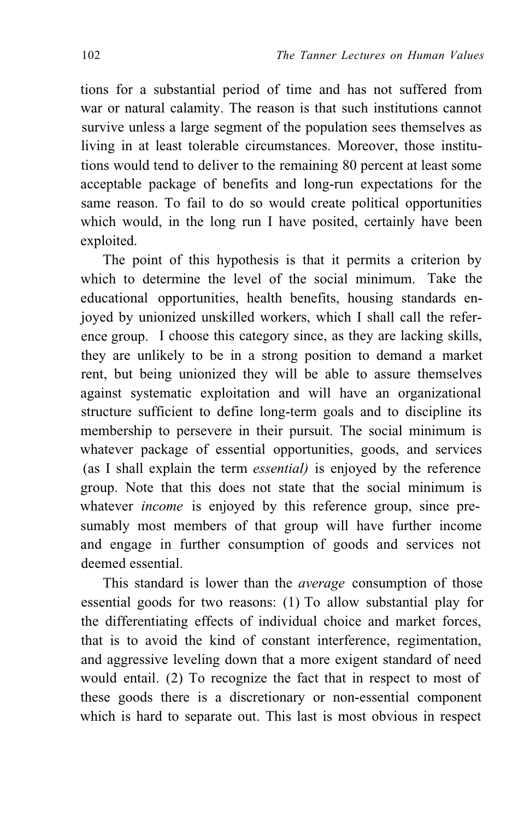tions for a substantial period of time and has not suffered from war or natural calamity. The reason is that such institutions cannot survive unless a large segment of the population sees themselves as living in at least tolerable circumstances. Moreover, those institutions would tend to deliver to the remaining 80 percent at least some acceptable package of benefits and long-run expectations for the same reason. To fail to do so would create political opportunities which would, in the long run I have posited, certainly have been exploited.

The point of this hypothesis is that it permits a criterion by which to determine the level of the social minimum. Take the educational opportunities, health benefits, housing standards enjoyed by unionized unskilled workers, which I shall call the reference group. I choose this category since, as they are lacking skills, they are unlikely to be in a strong position to demand a market rent, but being unionized they will be able to assure themselves against systematic exploitation and will have an organizational structure sufficient to define long-term goals and to discipline its membership to persevere in their pursuit. The social minimum is whatever package of essential opportunities, goods, and services (as I shall explain the term *essential)* is enjoyed by the reference group. Note that this does not state that the social minimum is whatever *income* is enjoyed by this reference group, since presumably most members of that group will have further income and engage in further consumption of goods and services not deemed essential.

This standard is lower than the *average* consumption of those essential goods for two reasons: (1) To allow substantial play for the differentiating effects of individual choice and market forces, that is to avoid the kind of constant interference, regimentation, and aggressive leveling down that a more exigent standard of need would entail. (2) To recognize the fact that in respect to most of these goods there is a discretionary or non-essential component which is hard to separate out. This last is most obvious in respect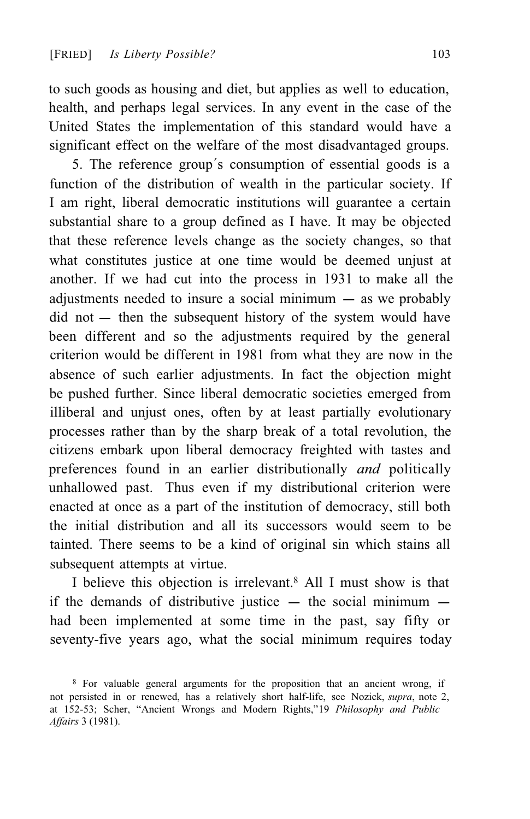to such goods as housing and diet, but applies as well to education, health, and perhaps legal services. In any event in the case of the United States the implementation of this standard would have a significant effect on the welfare of the most disadvantaged groups.

5. The reference group´s consumption of essential goods is a function of the distribution of wealth in the particular society. If I am right, liberal democratic institutions will guarantee a certain substantial share to a group defined as I have. It may be objected that these reference levels change as the society changes, so that what constitutes justice at one time would be deemed unjust at another. If we had cut into the process in 1931 to make all the adjustments needed to insure a social minimum — as we probably adjustments needed to insure a social minimum  $-$  as we probably did not  $-$  then the subsequent history of the system would have been different and so the adjustments required by the general criterion would be different in 1981 from what they are now in the absence of such earlier adjustments. In fact the objection might be pushed further. Since liberal democratic societies emerged from illiberal and unjust ones, often by at least partially evolutionary processes rather than by the sharp break of a total revolution, the citizens embark upon liberal democracy freighted with tastes and preferences found in an earlier distributionally *and* politically unhallowed past. Thus even if my distributional criterion were enacted at once as a part of the institution of democracy, still both the initial distribution and all its successors would seem to be tainted. There seems to be a kind of original sin which stains all subsequent attempts at virtue.

I believe this objection is irrelevant.8 All I must show is that if the demands of distributive justice  $-$  the social minimum  $$ had been implemented at some time in the past, say fifty or seventy-five years ago, what the social minimum requires today

<sup>8</sup> For valuable general arguments for the proposition that an ancient wrong, if not persisted in or renewed, has a relatively short half-life, see Nozick, *supra*, note 2, at 152-53; Scher, "Ancient Wrongs and Modern Rights,"19 *Philosophy and Public Affairs* 3 (1981).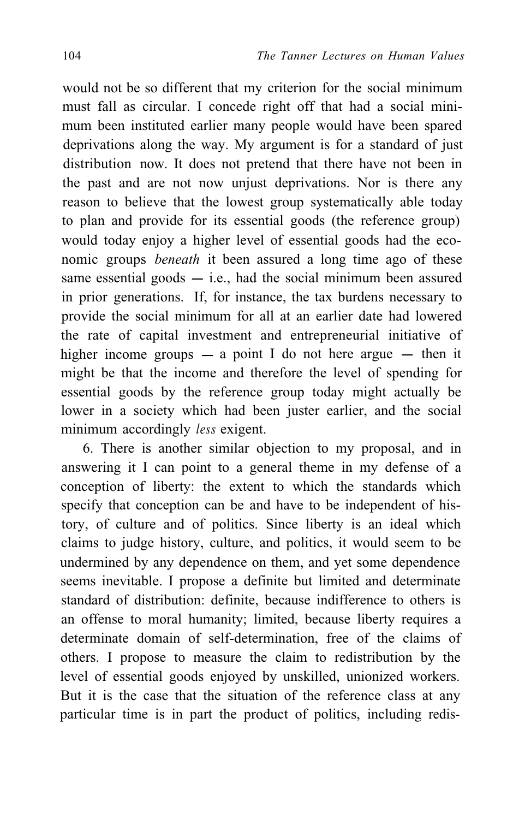would not be so different that my criterion for the social minimum must fall as circular. I concede right off that had a social minimum been instituted earlier many people would have been spared deprivations along the way. My argument is for a standard of just distribution now. It does not pretend that there have not been in the past and are not now unjust deprivations. Nor is there any reason to believe that the lowest group systematically able today to plan and provide for its essential goods (the reference group) would today enjoy a higher level of essential goods had the economic groups *beneath* it been assured a long time ago of these same essential goods — i.e., had the social minimum been assured in prior generations. If, for instance, the tax burdens necessary to provide the social minimum for all at an earlier date had lowered the rate of capital investment and entrepreneurial initiative of higher income groups  $-$  a point I do not here argue  $-$  then it might be that the income and therefore the level of spending for essential goods by the reference group today might actually be lower in a society which had been juster earlier, and the social minimum accordingly *less* exigent.

6. There is another similar objection to my proposal, and in answering it I can point to a general theme in my defense of a conception of liberty: the extent to which the standards which specify that conception can be and have to be independent of history, of culture and of politics. Since liberty is an ideal which claims to judge history, culture, and politics, it would seem to be undermined by any dependence on them, and yet some dependence seems inevitable. I propose a definite but limited and determinate standard of distribution: definite, because indifference to others is an offense to moral humanity; limited, because liberty requires a determinate domain of self-determination, free of the claims of others. I propose to measure the claim to redistribution by the level of essential goods enjoyed by unskilled, unionized workers. But it is the case that the situation of the reference class at any particular time is in part the product of politics, including redis-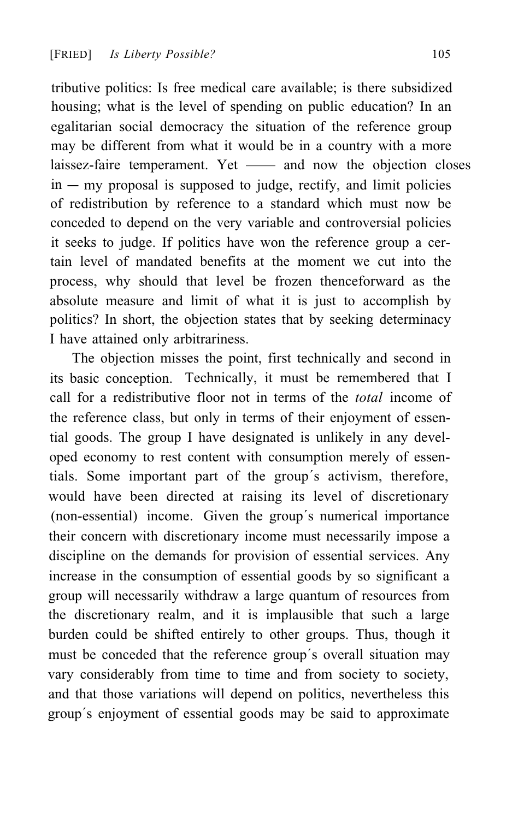tributive politics: Is free medical care available; is there subsidized housing; what is the level of spending on public education? In an egalitarian social democracy the situation of the reference group may be different from what it would be in a country with a more hair a sound be in a country with a more laissez-faire temperament. Yet — and now the objection closes in — my proposal is supposed to judge, rectify, and limit policies of redistribution by reference to a standard which must now be conceded to depend on the very variable and controversial policies it seeks to judge. If politics have won the reference group a certain level of mandated benefits at the moment we cut into the process, why should that level be frozen thenceforward as the absolute measure and limit of what it is just to accomplish by politics? In short, the objection states that by seeking determinacy I have attained only arbitrariness.

The objection misses the point, first technically and second in its basic conception. Technically, it must be remembered that I call for a redistributive floor not in terms of the *total* income of the reference class, but only in terms of their enjoyment of essential goods. The group I have designated is unlikely in any developed economy to rest content with consumption merely of essentials. Some important part of the group´s activism, therefore, would have been directed at raising its level of discretionary (non-essential) income. Given the group´s numerical importance their concern with discretionary income must necessarily impose a discipline on the demands for provision of essential services. Any increase in the consumption of essential goods by so significant a group will necessarily withdraw a large quantum of resources from the discretionary realm, and it is implausible that such a large burden could be shifted entirely to other groups. Thus, though it must be conceded that the reference group´s overall situation may vary considerably from time to time and from society to society, and that those variations will depend on politics, nevertheless this group´s enjoyment of essential goods may be said to approximate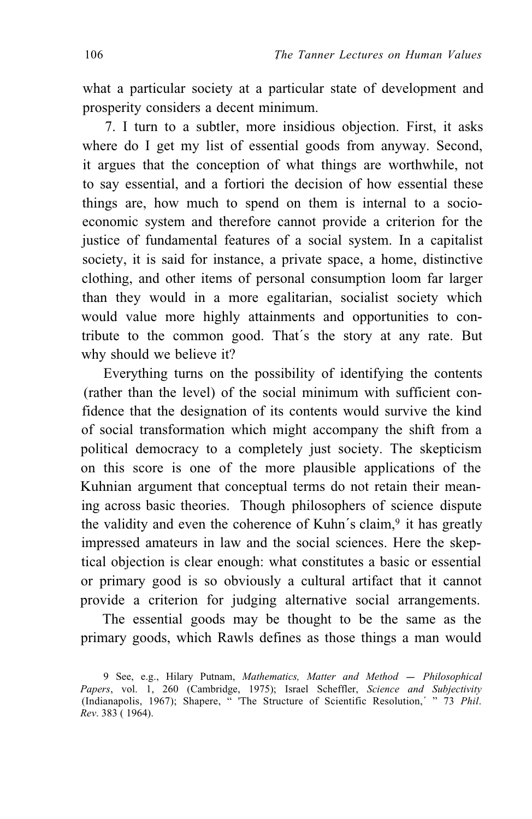what a particular society at a particular state of development and prosperity considers a decent minimum.

7. I turn to a subtler, more insidious objection. First, it asks where do I get my list of essential goods from anyway. Second, it argues that the conception of what things are worthwhile, not to say essential, and a fortiori the decision of how essential these things are, how much to spend on them is internal to a socioeconomic system and therefore cannot provide a criterion for the justice of fundamental features of a social system. In a capitalist society, it is said for instance, a private space, a home, distinctive clothing, and other items of personal consumption loom far larger than they would in a more egalitarian, socialist society which would value more highly attainments and opportunities to contribute to the common good. That´s the story at any rate. But why should we believe it?

Everything turns on the possibility of identifying the contents (rather than the level) of the social minimum with sufficient confidence that the designation of its contents would survive the kind of social transformation which might accompany the shift from a political democracy to a completely just society. The skepticism on this score is one of the more plausible applications of the Kuhnian argument that conceptual terms do not retain their meaning across basic theories. Though philosophers of science dispute the validity and even the coherence of Kuhn's claim, $9$  it has greatly impressed amateurs in law and the social sciences. Here the skeptical objection is clear enough: what constitutes a basic or essential or primary good is so obviously a cultural artifact that it cannot provide a criterion for judging alternative social arrangements.

The essential goods may be thought to be the same as the primary goods, which Rawls defines as those things a man would

<sup>9</sup> See, e.g., Hilary Putnam, *Mathematics, Matter and Method* - Philosophical *Papers*, vol. 1, 260 (Cambridge, 1975); Israel Scheffler, *Science and Subjectivity* (Indianapolis, 1967); Shapere, " 'The Structure of Scientific Resolution,´ " 73 *Phil*. *Rev*. 383 ( 1964).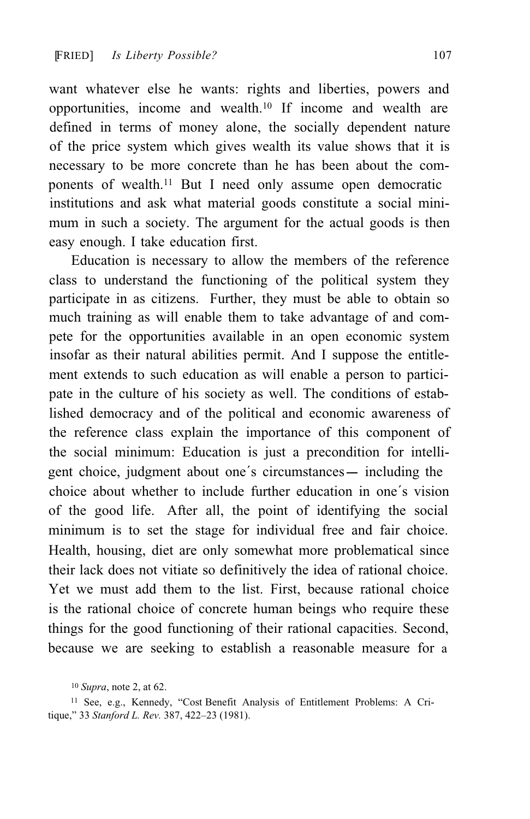want whatever else he wants: rights and liberties, powers and opportunities, income and wealth.10 If income and wealth are defined in terms of money alone, the socially dependent nature of the price system which gives wealth its value shows that it is necessary to be more concrete than he has been about the components of wealth.11 But I need only assume open democratic institutions and ask what material goods constitute a social minimum in such a society. The argument for the actual goods is then easy enough. I take education first.

Education is necessary to allow the members of the reference class to understand the functioning of the political system they participate in as citizens. Further, they must be able to obtain so much training as will enable them to take advantage of and compete for the opportunities available in an open economic system insofar as their natural abilities permit. And I suppose the entitlement extends to such education as will enable a person to participate in the culture of his society as well. The conditions of established democracy and of the political and economic awareness of the reference class explain the importance of this component of the social minimum: Education is just a precondition for intelligent choice, judgment about one's circumstances— including the choice about whether to include further education in one´s vision of the good life. After all, the point of identifying the social minimum is to set the stage for individual free and fair choice. Health, housing, diet are only somewhat more problematical since their lack does not vitiate so definitively the idea of rational choice. Yet we must add them to the list. First, because rational choice is the rational choice of concrete human beings who require these things for the good functioning of their rational capacities. Second, because we are seeking to establish a reasonable measure for a

<sup>10</sup> *Supra*, note 2, at 62.

<sup>11</sup> See, e.g., Kennedy, "Cost Benefit Analysis of Entitlement Problems: A Critique," 33 *Stanford L. Rev.* 387, 422–23 (1981).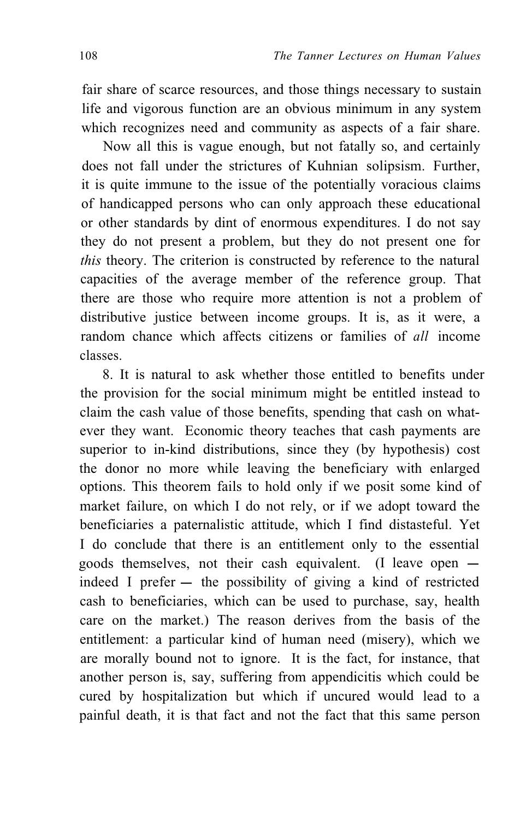fair share of scarce resources, and those things necessary to sustain life and vigorous function are an obvious minimum in any system which recognizes need and community as aspects of a fair share.

Now all this is vague enough, but not fatally so, and certainly does not fall under the strictures of Kuhnian solipsism. Further, it is quite immune to the issue of the potentially voracious claims of handicapped persons who can only approach these educational or other standards by dint of enormous expenditures. I do not say they do not present a problem, but they do not present one for *this* theory. The criterion is constructed by reference to the natural capacities of the average member of the reference group. That there are those who require more attention is not a problem of distributive justice between income groups. It is, as it were, a random chance which affects citizens or families of *all* income classes.

8. It is natural to ask whether those entitled to benefits under the provision for the social minimum might be entitled instead to claim the cash value of those benefits, spending that cash on whatever they want. Economic theory teaches that cash payments are superior to in-kind distributions, since they (by hypothesis) cost the donor no more while leaving the beneficiary with enlarged options. This theorem fails to hold only if we posit some kind of market failure, on which I do not rely, or if we adopt toward the beneficiaries a paternalistic attitude, which I find distasteful. Yet I do conclude that there is an entitlement only to the essential I do conclude that there is an entitlement only to the essential<br>goods themselves, not their cash equivalent. (I leave open goods themselves, not their cash equivalent. (I leave open –<br>indeed I prefer – the possibility of giving a kind of restricted cash to beneficiaries, which can be used to purchase, say, health care on the market.) The reason derives from the basis of the entitlement: a particular kind of human need (misery), which we are morally bound not to ignore. It is the fact, for instance, that another person is, say, suffering from appendicitis which could be cured by hospitalization but which if uncured would lead to a painful death, it is that fact and not the fact that this same person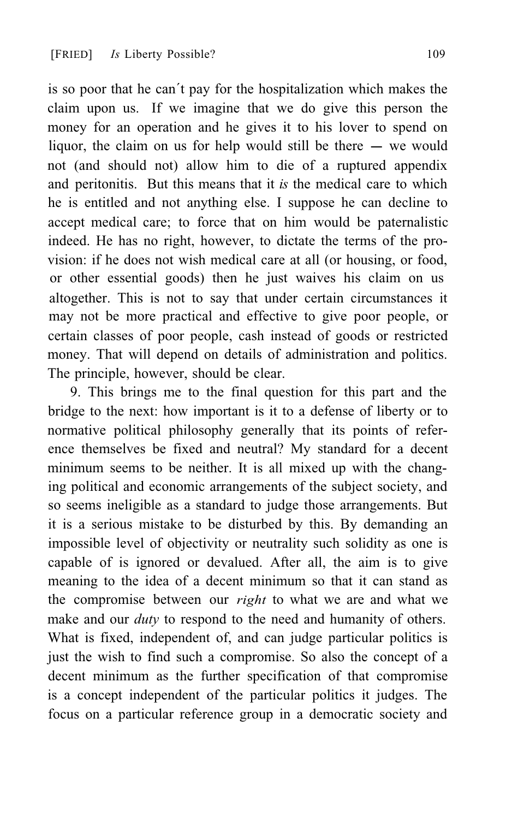is so poor that he can´t pay for the hospitalization which makes the claim upon us. If we imagine that we do give this person the money for an operation and he gives it to his lover to spend on liquor, the claim on us for help would still be there — we would not (and should not) allow him to die of a ruptured appendix and peritonitis. But this means that it *is* the medical care to which he is entitled and not anything else. I suppose he can decline to accept medical care; to force that on him would be paternalistic indeed. He has no right, however, to dictate the terms of the provision: if he does not wish medical care at all (or housing, or food, certain classes of poor people, cash instead of goods or restricted money. That will depend on details of administration and politics. The principle, however, should be clear. altogether. This is not to say that under certain circumstances it or other essential goods) then he just waives his claim on us may not be more practical and effective to give poor people, or

9. This brings me to the final question for this part and the bridge to the next: how important is it to a defense of liberty or to normative political philosophy generally that its points of reference themselves be fixed and neutral? My standard for a decent minimum seems to be neither. It is all mixed up with the changing political and economic arrangements of the subject society, and so seems ineligible as a standard to judge those arrangements. But it is a serious mistake to be disturbed by this. By demanding an impossible level of objectivity or neutrality such solidity as one is capable of is ignored or devalued. After all, the aim is to give meaning to the idea of a decent minimum so that it can stand as the compromise between our *right* to what we are and what we make and our *duty* to respond to the need and humanity of others. What is fixed, independent of, and can judge particular politics is just the wish to find such a compromise. So also the concept of a decent minimum as the further specification of that compromise is a concept independent of the particular politics it judges. The focus on a particular reference group in a democratic society and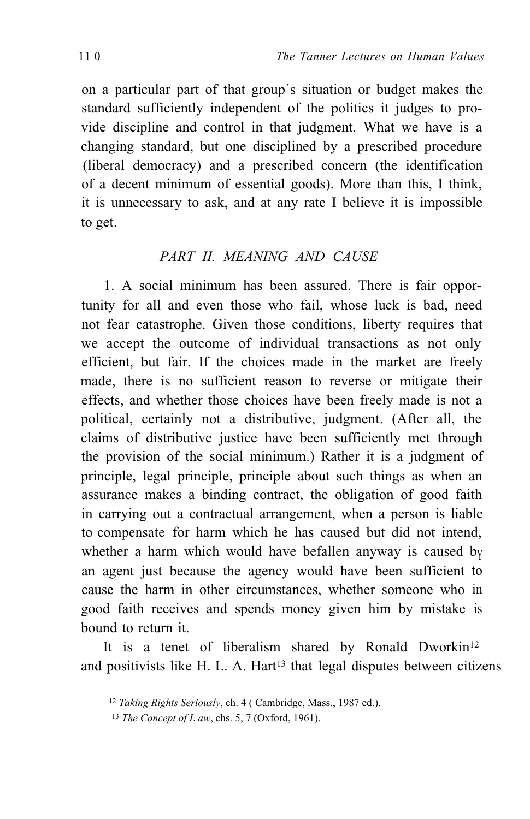on a particular part of that group´s situation or budget makes the standard sufficiently independent of the politics it judges to provide discipline and control in that judgment. What we have is a changing standard, but one disciplined by a prescribed procedure (liberal democracy) and a prescribed concern (the identification of a decent minimum of essential goods). More than this, I think, it is unnecessary to ask, and at any rate I believe it is impossible to get.

## *PART II. MEANING AND CAUSE*

1. A social minimum has been assured. There is fair opportunity for all and even those who fail, whose luck is bad, need not fear catastrophe. Given those conditions, liberty requires that we accept the outcome of individual transactions as not only efficient, but fair. If the choices made in the market are freely made, there is no sufficient reason to reverse or mitigate their effects, and whether those choices have been freely made is not a political, certainly not a distributive, judgment. (After all, the claims of distributive justice have been sufficiently met through the provision of the social minimum.) Rather it is a judgment of principle, legal principle, principle about such things as when an assurance makes a binding contract, the obligation of good faith in carrying out a contractual arrangement, when a person is liable to compensate for harm which he has caused but did not intend, whether a harm which would have befallen anyway is caused by an agent just because the agency would have been sufficient to cause the harm in other circumstances, whether someone who in good faith receives and spends money given him by mistake is bound to return it.

It is a tenet of liberalism shared by Ronald Dworkin<sup>12</sup> and positivists like H. L. A. Hart<sup>13</sup> that legal disputes between citizens

<sup>12</sup> *Taking Rights Seriously*, ch. 4 ( Cambridge, Mass., 1987 ed.).

<sup>13</sup> *The Concept of L aw*, chs. 5, 7 (Oxford, 1961).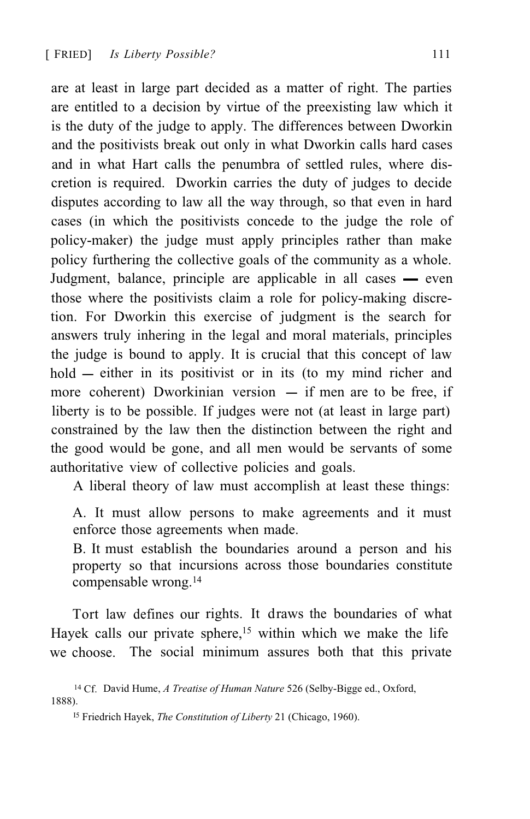are at least in large part decided as a matter of right. The parties are entitled to a decision by virtue of the preexisting law which it is the duty of the judge to apply. The differences between Dworkin and the positivists break out only in what Dworkin calls hard cases and in what Hart calls the penumbra of settled rules, where discretion is required. Dworkin carries the duty of judges to decide disputes according to law all the way through, so that even in hard cases (in which the positivists concede to the judge the role of policy-maker) the judge must apply principles rather than make policy furthering the collective goals of the community as a whole.<br>Judgment, balance, principle are applicable in all cases — even those where the positivists claim a role for policy-making discretion. For Dworkin this exercise of judgment is the search for answers truly inhering in the legal and moral materials, principles the judge is bound to apply. It is crucial that this concept of law<br>hold — either in its positivist or in its (to my mind richer and hold — either in its positivist or in its (to my mind richer and more coherent) Dworkinian version — if men are to be free, if liberty is to be possible. If judges were not (at least in large part) constrained by the law then the distinction between the right and the good would be gone, and all men would be servants of some authoritative view of collective policies and goals.

A liberal theory of law must accomplish at least these things:

A. It must allow persons to make agreements and it must enforce those agreements when made.

B. It must establish the boundaries around a person and his property so that incursions across those boundaries constitute compensable wrong.14

Tort law defines our rights. It draws the boundaries of what Hayek calls our private sphere,<sup>15</sup> within which we make the life we choose. The social minimum assures both that this private

<sup>14</sup> Cf. David Hume, *A Treatise of Human Nature* 526 (Selby-Bigge ed., Oxford, 1888).

I5 Friedrich Hayek, *The Constitution of Liberty* 21 (Chicago, 1960).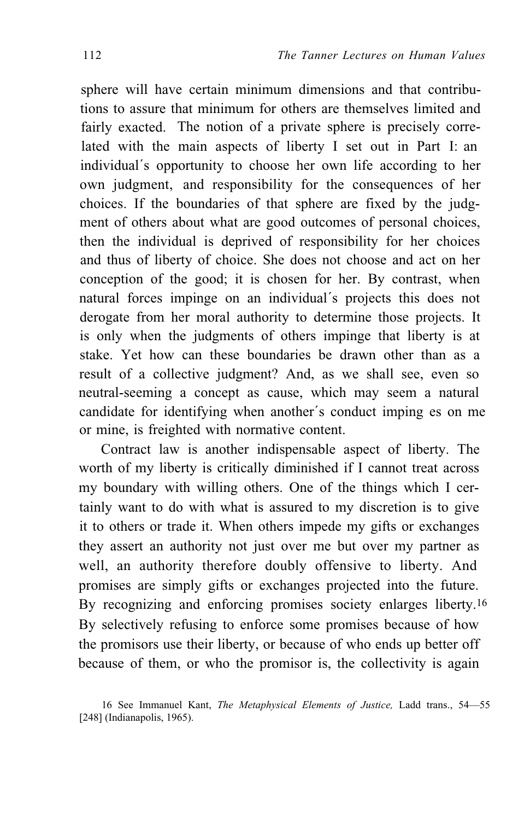sphere will have certain minimum dimensions and that contributions to assure that minimum for others are themselves limited and fairly exacted. The notion of a private sphere is precisely correlated with the main aspects of liberty I set out in Part I: an individual´s opportunity to choose her own life according to her own judgment, and responsibility for the consequences of her choices. If the boundaries of that sphere are fixed by the judgment of others about what are good outcomes of personal choices, then the individual is deprived of responsibility for her choices and thus of liberty of choice. She does not choose and act on her conception of the good; it is chosen for her. By contrast, when natural forces impinge on an individual´s projects this does not derogate from her moral authority to determine those projects. It is only when the judgments of others impinge that liberty is at stake. Yet how can these boundaries be drawn other than as a result of a collective judgment? And, as we shall see, even so neutral-seeming a concept as cause, which may seem a natural candidate for identifying when another´s conduct imping es on me or mine, is freighted with normative content.

Contract law is another indispensable aspect of liberty. The worth of my liberty is critically diminished if I cannot treat across my boundary with willing others. One of the things which I certainly want to do with what is assured to my discretion is to give it to others or trade it. When others impede my gifts or exchanges they assert an authority not just over me but over my partner as well, an authority therefore doubly offensive to liberty. And promises are simply gifts or exchanges projected into the future. By recognizing and enforcing promises society enlarges liberty.<sup>16</sup> By selectively refusing to enforce some promises because of how the promisors use their liberty, or because of who ends up better off because of them, or who the promisor is, the collectivity is again

<sup>16</sup> See Immanuel Kant, *The Metaphysical Elements of Justice,* Ladd trans., 54—55 [248] (Indianapolis, 1965).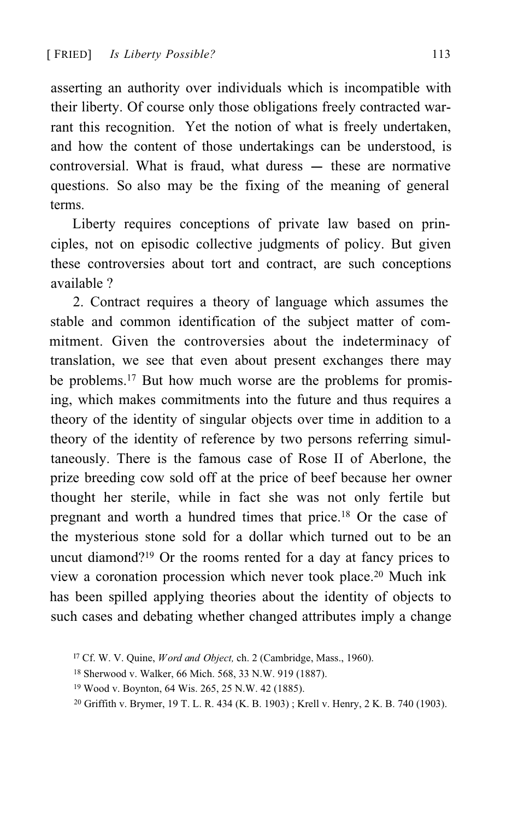asserting an authority over individuals which is incompatible with their liberty. Of course only those obligations freely contracted warrant this recognition. Yet the notion of what is freely undertaken, and how the content of those undertakings can be understood, is controversial. What is fraud, what duress — these are normative questions. So also may be the fixing of the meaning of general terms.

Liberty requires conceptions of private law based on principles, not on episodic collective judgments of policy. But given these controversies about tort and contract, are such conceptions available ?

2. Contract requires a theory of language which assumes the stable and common identification of the subject matter of commitment. Given the controversies about the indeterminacy of translation, we see that even about present exchanges there may be problems.17 But how much worse are the problems for promising, which makes commitments into the future and thus requires a theory of the identity of singular objects over time in addition to a theory of the identity of reference by two persons referring simultaneously. There is the famous case of Rose II of Aberlone, the prize breeding cow sold off at the price of beef because her owner thought her sterile, while in fact she was not only fertile but pregnant and worth a hundred times that price.18 Or the case of the mysterious stone sold for a dollar which turned out to be an uncut diamond?19 Or the rooms rented for a day at fancy prices to view a coronation procession which never took place.20 Much ink has been spilled applying theories about the identity of objects to such cases and debating whether changed attributes imply a change

I7 Cf. W. V. Quine, *Word and Object,* ch. 2 (Cambridge, Mass., 1960).

<sup>18</sup> Sherwood v. Walker, 66 Mich. 568, 33 N.W. 919 (1887).

<sup>19</sup> Wood v. Boynton, 64 Wis. 265, 25 N.W. 42 (1885).

<sup>20</sup> Griffith v. Brymer, 19 T. L. R. 434 (K. B. 1903) ; Krell v. Henry, 2 K. B. 740 (1903).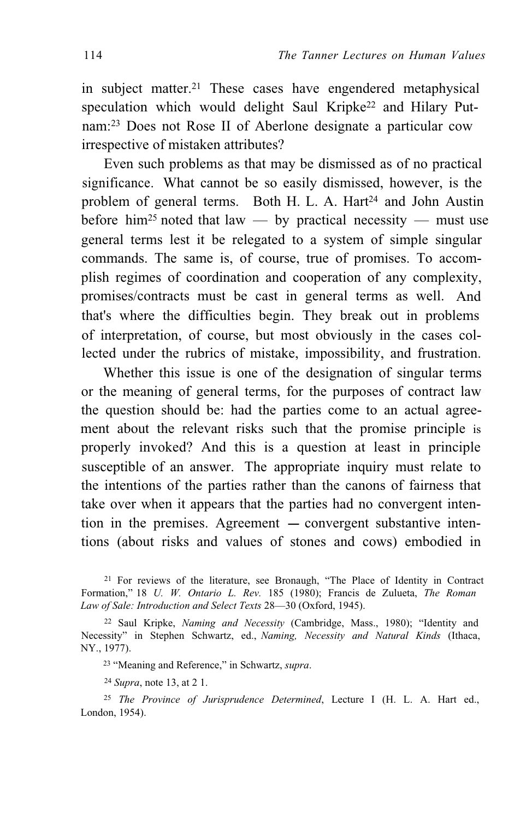in subject matter.21 These cases have engendered metaphysical speculation which would delight Saul Kripke<sup>22</sup> and Hilary Putnam:23 Does not Rose II of Aberlone designate a particular cow irrespective of mistaken attributes?

Even such problems as that may be dismissed as of no practical significance. What cannot be so easily dismissed, however, is the problem of general terms. Both H. L. A. Hart<sup>24</sup> and John Austin before him<sup>25</sup> noted that law — by practical necessity — must use general terms lest it be relegated to a system of simple singular commands. The same is, of course, true of promises. To accomplish regimes of coordination and cooperation of any complexity, promises/contracts must be cast in general terms as well. And that's where the difficulties begin. They break out in problems of interpretation, of course, but most obviously in the cases collected under the rubrics of mistake, impossibility, and frustration.

Whether this issue is one of the designation of singular terms or the meaning of general terms, for the purposes of contract law the question should be: had the parties come to an actual agreement about the relevant risks such that the promise principle is properly invoked? And this is a question at least in principle susceptible of an answer. The appropriate inquiry must relate to the intentions of the parties rather than the canons of fairness that take over when it appears that the parties had no convergent intention in the premises. Agreement — convergent substantive intentions (about risks and values of stones and cows) embodied in

<sup>21</sup> For reviews of the literature, see Bronaugh, "The Place of Identity in Contract Formation," 18 *U. W. Ontario L. Rev.* 185 (1980); Francis de Zulueta, *The Roman Law of Sale: Introduction and Select Texts* 28—30 (Oxford, 1945).

<sup>22</sup> Saul Kripke, *Naming and Necessity* (Cambridge, Mass., 1980); "Identity and Necessity" in Stephen Schwartz, ed., *Naming, Necessity and Natural Kinds* (Ithaca, NY., 1977).

<sup>23 &</sup>quot;Meaning and Reference," in Schwartz, *supra*.

<sup>24</sup> *Supra*, note 13, at 2 1.

<sup>25</sup> *The Province of Jurisprudence Determined*, Lecture I (H. L. A. Hart ed., London, 1954).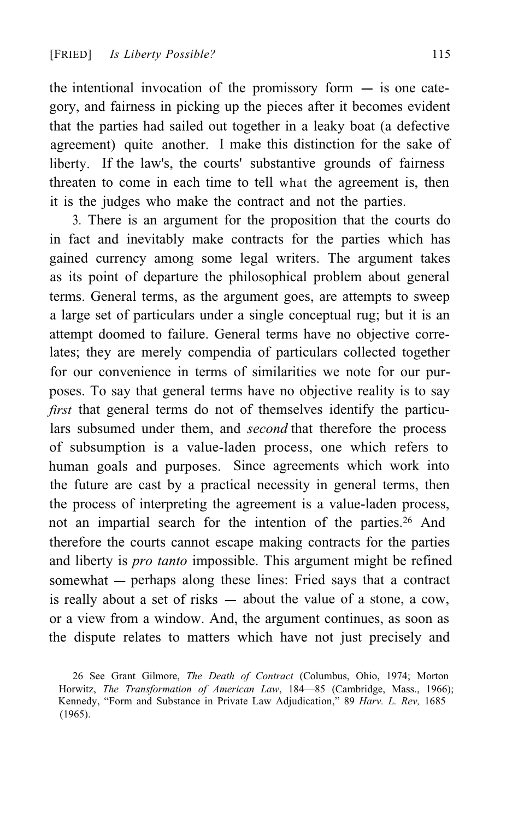the intentional invocation of the promissory form  $-$  is one category, and fairness in picking up the pieces after it becomes evident that the parties had sailed out together in a leaky boat (a defective agreement) quite another. I make this distinction for the sake of liberty. If the law's, the courts' substantive grounds of fairness threaten to come in each time to tell what the agreement is, then it is the judges who make the contract and not the parties.

3. There is an argument for the proposition that the courts do in fact and inevitably make contracts for the parties which has gained currency among some legal writers. The argument takes as its point of departure the philosophical problem about general terms. General terms, as the argument goes, are attempts to sweep a large set of particulars under a single conceptual rug; but it is an attempt doomed to failure. General terms have no objective correlates; they are merely compendia of particulars collected together for our convenience in terms of similarities we note for our purposes. To say that general terms have no objective reality is to say *first* that general terms do not of themselves identify the particulars subsumed under them, and *second* that therefore the process of subsumption is a value-laden process, one which refers to human goals and purposes. Since agreements which work into the future are cast by a practical necessity in general terms, then the process of interpreting the agreement is a value-laden process, not an impartial search for the intention of the parties.26 And therefore the courts cannot escape making contracts for the parties and liberty is *pro tanto* impossible. This argument might be refined and liberty is *pro tanto* impossible. This argument might be refined somewhat — perhaps along these lines: Fried says that a contract somewhat — perhaps along these lines: Fried says that a contract<br>is really about a set of risks — about the value of a stone, a cow, or a view from a window. And, the argument continues, as soon as the dispute relates to matters which have not just precisely and

<sup>26</sup> See Grant Gilmore, *The Death of Contract* (Columbus, Ohio, 1974; Morton Horwitz, *The Transformation of American Law*, 184—85 (Cambridge, Mass., 1966); Kennedy, "Form and Substance in Private Law Adjudication," 89 *Harv. L. Rev,* 1685 (1965).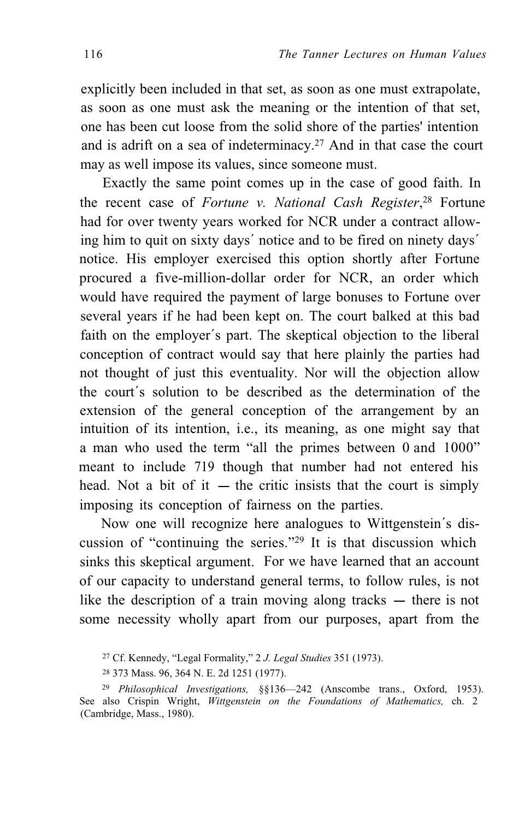explicitly been included in that set, as soon as one must extrapolate, as soon as one must ask the meaning or the intention of that set, one has been cut loose from the solid shore of the parties' intention and is adrift on a sea of indeterminacy.<sup>27</sup> And in that case the court may as well impose its values, since someone must.

Exactly the same point comes up in the case of good faith. In the recent case of *Fortune v. National Cash Register*, 28 Fortune had for over twenty years worked for NCR under a contract allowing him to quit on sixty days´ notice and to be fired on ninety days´ notice. His employer exercised this option shortly after Fortune procured a five-million-dollar order for NCR, an order which would have required the payment of large bonuses to Fortune over several years if he had been kept on. The court balked at this bad faith on the employer´s part. The skeptical objection to the liberal conception of contract would say that here plainly the parties had not thought of just this eventuality. Nor will the objection allow the court´s solution to be described as the determination of the extension of the general conception of the arrangement by an intuition of its intention, i.e., its meaning, as one might say that a man who used the term "all the primes between 0 and 1000" meant to include 719 though that number had not entered his head. Not a bit of it  $-$  the critic insists that the court is simply imposing its conception of fairness on the parties.

Now one will recognize here analogues to Wittgenstein´s discussion of "continuing the series."29 It is that discussion which sinks this skeptical argument. For we have learned that an account of our capacity to understand general terms, to follow rules, is not like the description of a train moving along tracks  $-$  there is not some necessity wholly apart from our purposes, apart from the

<sup>27</sup> Cf. Kennedy, "Legal Formality," 2 *J. Legal Studies* 351 (1973).

<sup>28 373</sup> Mass. 96, 364 N. E. 2d 1251 (1977).

<sup>29</sup> *Philosophical Investigations,* §§136—242 (Anscombe trans., Oxford, 1953). See also Crispin Wright, *Wittgenstein on the Foundations of Mathematics,* ch. 2 (Cambridge, Mass., 1980).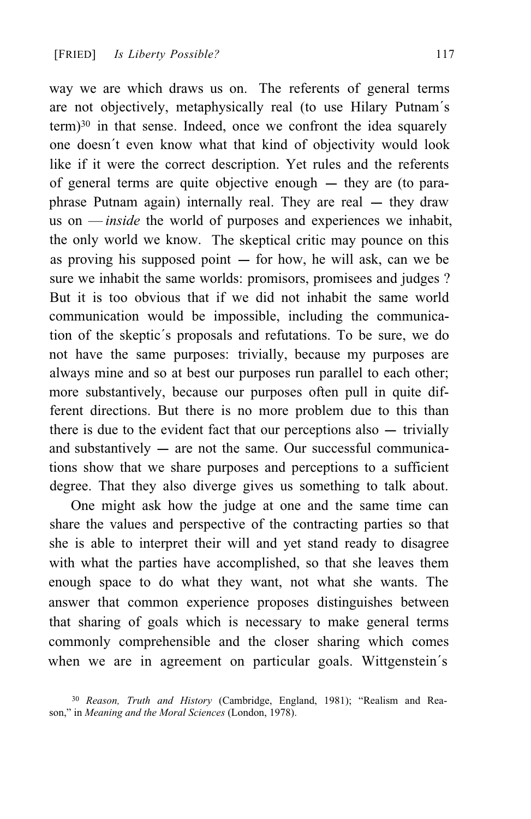way we are which draws us on. The referents of general terms are not objectively, metaphysically real (to use Hilary Putnam´s  $term$ <sup>30</sup> in that sense. Indeed, once we confront the idea squarely one doesn´t even know what that kind of objectivity would look like if it were the correct description. Yet rules and the referents like if it were the correct description. Yet rules and the referents<br>of general terms are quite objective enough — they are (to paraof general terms are quite objective enough — they are (to para-<br>phrase Putnam again) internally real. They are real — they draw us on — *inside* the world of purposes and experiences we inhabit, the only world we know. The skeptical critic may pounce on this as proving his supposed point  $-$  for how, he will ask, can we be sure we inhabit the same worlds: promisors, promisees and judges ? But it is too obvious that if we did not inhabit the same world communication would be impossible, including the communication of the skeptic´s proposals and refutations. To be sure, we do not have the same purposes: trivially, because my purposes are always mine and so at best our purposes run parallel to each other; more substantively, because our purposes often pull in quite different directions. But there is no more problem due to this than there is due to the evident fact that our perceptions also — trivially there is due to the evident fact that our perceptions also  $-$  trivially and substantively  $-$  are not the same. Our successful communications show that we share purposes and perceptions to a sufficient degree. That they also diverge gives us something to talk about.

One might ask how the judge at one and the same time can share the values and perspective of the contracting parties so that she is able to interpret their will and yet stand ready to disagree with what the parties have accomplished, so that she leaves them enough space to do what they want, not what she wants. The answer that common experience proposes distinguishes between that sharing of goals which is necessary to make general terms commonly comprehensible and the closer sharing which comes when we are in agreement on particular goals. Wittgenstein's

<sup>30</sup> *Reason, Truth and History* (Cambridge, England, 1981); "Realism and Reason," in *Meaning and the Moral Sciences* (London, 1978).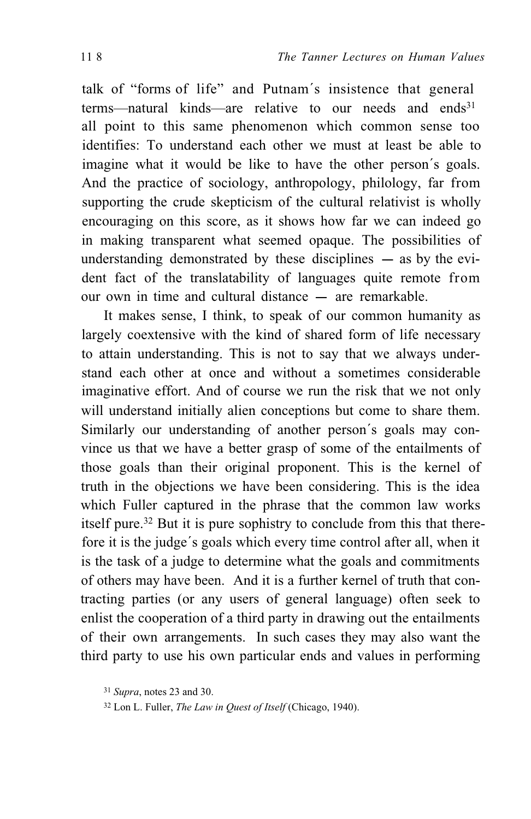talk of "forms of life" and Putnam´s insistence that general terms—natural kinds—are relative to our needs and ends<sup>31</sup> all point to this same phenomenon which common sense too identifies: To understand each other we must at least be able to imagine what it would be like to have the other person´s goals. And the practice of sociology, anthropology, philology, far from supporting the crude skepticism of the cultural relativist is wholly encouraging on this score, as it shows how far we can indeed go in making transparent what seemed opaque. The possibilities of understanding demonstrated by these disciplines  $-$  as by the evident fact of the translatability of languages quite remote from<br>our own in time and cultural distance — are remarkable.

It makes sense, I think, to speak of our common humanity as largely coextensive with the kind of shared form of life necessary to attain understanding. This is not to say that we always understand each other at once and without a sometimes considerable imaginative effort. And of course we run the risk that we not only will understand initially alien conceptions but come to share them. Similarly our understanding of another person´s goals may convince us that we have a better grasp of some of the entailments of those goals than their original proponent. This is the kernel of truth in the objections we have been considering. This is the idea which Fuller captured in the phrase that the common law works itself pure.32 But it is pure sophistry to conclude from this that therefore it is the judge´s goals which every time control after all, when it is the task of a judge to determine what the goals and commitments of others may have been. And it is a further kernel of truth that contracting parties (or any users of general language) often seek to enlist the cooperation of a third party in drawing out the entailments of their own arrangements. In such cases they may also want the third party to use his own particular ends and values in performing

<sup>31</sup> *Supra*, notes 23 and 30.

<sup>32</sup> Lon L. Fuller, *The Law in Quest of Itself* (Chicago, 1940).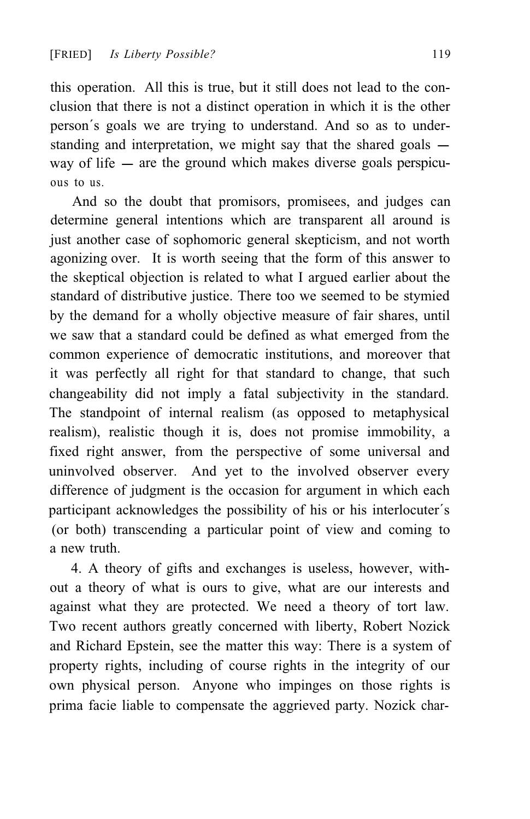this operation. All this is true, but it still does not lead to the conclusion that there is not a distinct operation in which it is the other person´s goals we are trying to understand. And so as to underperson's goals we are trying to understand. And so as to understanding and interpretation, we might say that the shared goals – standing and interpretation, we might say that the shared goals –<br>way of life – are the ground which makes diverse goals perspicuous to us.

And so the doubt that promisors, promisees, and judges can determine general intentions which are transparent all around is just another case of sophomoric general skepticism, and not worth agonizing over. It is worth seeing that the form of this answer to the skeptical objection is related to what I argued earlier about the standard of distributive justice. There too we seemed to be stymied by the demand for a wholly objective measure of fair shares, until we saw that a standard could be defined as what emerged from the common experience of democratic institutions, and moreover that it was perfectly all right for that standard to change, that such changeability did not imply a fatal subjectivity in the standard. The standpoint of internal realism (as opposed to metaphysical realism), realistic though it is, does not promise immobility, a fixed right answer, from the perspective of some universal and uninvolved observer. And yet to the involved observer every difference of judgment is the occasion for argument in which each participant acknowledges the possibility of his or his interlocuter´s (or both) transcending a particular point of view and coming to a new truth.

4. A theory of gifts and exchanges is useless, however, without a theory of what is ours to give, what are our interests and against what they are protected. We need a theory of tort law. Two recent authors greatly concerned with liberty, Robert Nozick and Richard Epstein, see the matter this way: There is a system of property rights, including of course rights in the integrity of our own physical person. Anyone who impinges on those rights is prima facie liable to compensate the aggrieved party. Nozick char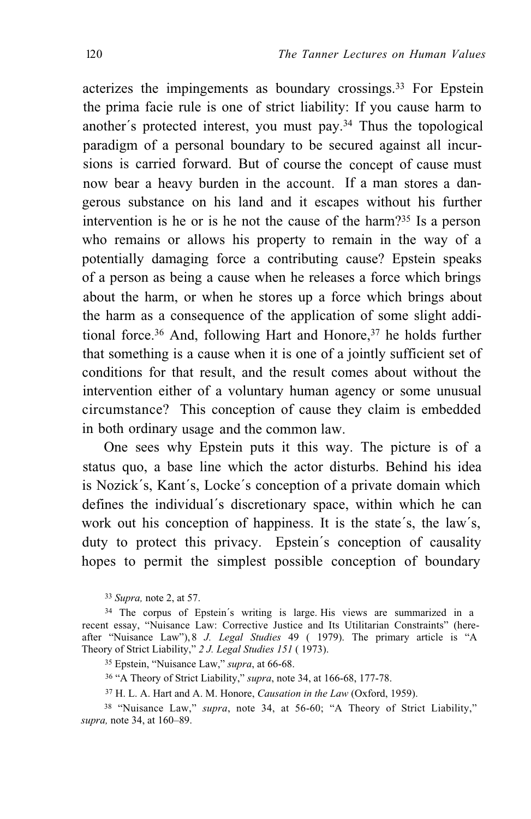acterizes the impingements as boundary crossings.33 For Epstein the prima facie rule is one of strict liability: If you cause harm to another´s protected interest, you must pay.34 Thus the topological paradigm of a personal boundary to be secured against all incursions is carried forward. But of course the concept of cause must now bear a heavy burden in the account. If a man stores a dangerous substance on his land and it escapes without his further intervention is he or is he not the cause of the harm?35 Is a person who remains or allows his property to remain in the way of a potentially damaging force a contributing cause? Epstein speaks of a person as being a cause when he releases a force which brings about the harm, or when he stores up a force which brings about the harm as a consequence of the application of some slight additional force.<sup>36</sup> And, following Hart and Honore,<sup>37</sup> he holds further that something is a cause when it is one of a jointly sufficient set of conditions for that result, and the result comes about without the intervention either of a voluntary human agency or some unusual circumstance? This conception of cause they claim is embedded in both ordinary usage and the common law.

One sees why Epstein puts it this way. The picture is of a status quo, a base line which the actor disturbs. Behind his idea is Nozick´s, Kant´s, Locke´s conception of a private domain which defines the individual´s discretionary space, within which he can work out his conception of happiness. It is the state´s, the law´s, duty to protect this privacy. Epstein´s conception of causality hopes to permit the simplest possible conception of boundary

35 Epstein, "Nuisance Law," *supra*, at 66-68.

36 "A Theory of Strict Liability," *supra*, note 34, at 166-68, 177-78.

37 H. L. A. Hart and A. M. Honore, *Causation in the Law* (Oxford, 1959).

38 "Nuisance Law," *supra*, note 34, at 56-60; "A Theory of Strict Liability," *supra,* note 34, at 160–89.

<sup>33</sup> *Supra,* note 2, at 57.

<sup>34</sup> The corpus of Epstein´s writing is large. His views are summarized in a recent essay, "Nuisance Law: Corrective Justice and Its Utilitarian Constraints" (hereafter "Nuisance Law"), 8 *J. Legal Studies* 49 ( 1979). The primary article is "A Theory of Strict Liability," *2 J. Legal Studies 151* ( 1973).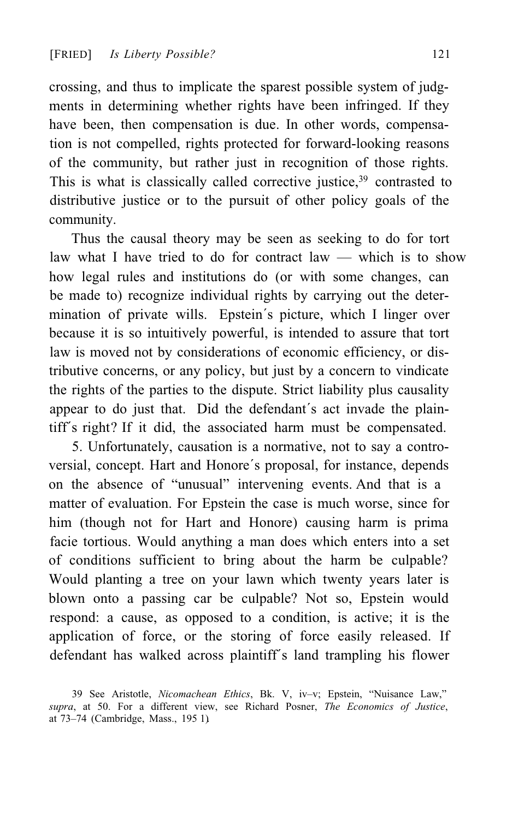crossing, and thus to implicate the sparest possible system of judgments in determining whether rights have been infringed. If they have been, then compensation is due. In other words, compensation is not compelled, rights protected for forward-looking reasons of the community, but rather just in recognition of those rights. This is what is classically called corrective justice,<sup>39</sup> contrasted to distributive justice or to the pursuit of other policy goals of the community.

Thus the causal theory may be seen as seeking to do for tort law what I have tried to do for contract law  $-$  which is to show how legal rules and institutions do (or with some changes, can be made to) recognize individual rights by carrying out the determination of private wills. Epstein´s picture, which I linger over because it is so intuitively powerful, is intended to assure that tort law is moved not by considerations of economic efficiency, or distributive concerns, or any policy, but just by a concern to vindicate the rights of the parties to the dispute. Strict liability plus causality appear to do just that. Did the defendant´s act invade the plaintiff´s right? If it did, the associated harm must be compensated.

5. Unfortunately, causation is a normative, not to say a controversial, concept. Hart and Honore´s proposal, for instance, depends on the absence of "unusual" intervening events. And that is a matter of evaluation. For Epstein the case is much worse, since for him (though not for Hart and Honore) causing harm is prima facie tortious. Would anything a man does which enters into a set of conditions sufficient to bring about the harm be culpable? Would planting a tree on your lawn which twenty years later is blown onto a passing car be culpable? Not so, Epstein would respond: a cause, as opposed to a condition, is active; it is the application of force, or the storing of force easily released. If defendant has walked across plaintiff´s land trampling his flower

<sup>39</sup> See Aristotle, *Nicomachean Ethics*, Bk. V, iv–v; Epstein, "Nuisance Law," *supra*, at 50. For a different view, see Richard Posner, *The Economics of Justice*, at 73–74 (Cambridge, Mass., 195 1).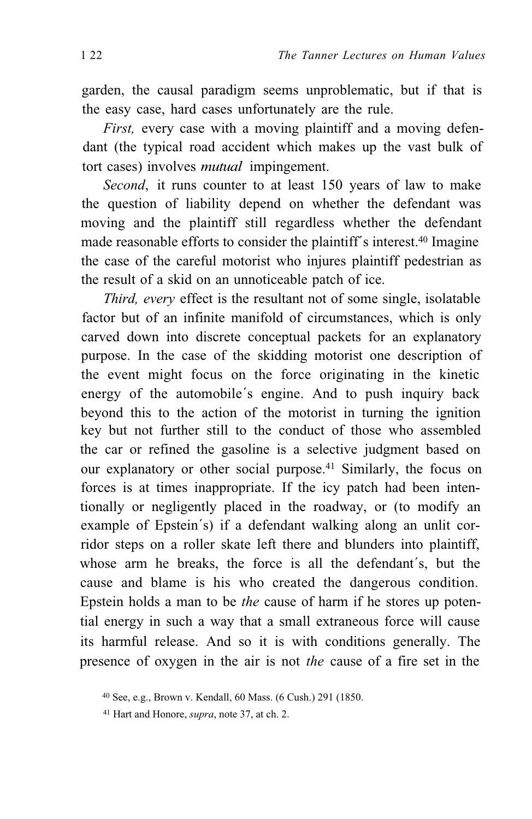garden, the causal paradigm seems unproblematic, but if that is the easy case, hard cases unfortunately are the rule.

*First,* every case with a moving plaintiff and a moving defendant (the typical road accident which makes up the vast bulk of tort cases) involves *mutual* impingement.

*Second*, it runs counter to at least 150 years of law to make the question of liability depend on whether the defendant was moving and the plaintiff still regardless whether the defendant made reasonable efforts to consider the plaintiff´s interest.40 Imagine the case of the careful motorist who injures plaintiff pedestrian as the result of a skid on an unnoticeable patch of ice.

*Third, every* effect is the resultant not of some single, isolatable factor but of an infinite manifold of circumstances, which is only carved down into discrete conceptual packets for an explanatory purpose. In the case of the skidding motorist one description of the event might focus on the force originating in the kinetic energy of the automobile´s engine. And to push inquiry back beyond this to the action of the motorist in turning the ignition key but not further still to the conduct of those who assembled the car or refined the gasoline is a selective judgment based on our explanatory or other social purpose.<sup>41</sup> Similarly, the focus on forces is at times inappropriate. If the icy patch had been intentionally or negligently placed in the roadway, or (to modify an example of Epstein´s) if a defendant walking along an unlit corridor steps on a roller skate left there and blunders into plaintiff, whose arm he breaks, the force is all the defendant´s, but the cause and blame is his who created the dangerous condition. Epstein holds a man to be *the* cause of harm if he stores up potential energy in such a way that a small extraneous force will cause its harmful release. And so it is with conditions generally. The presence of oxygen in the air is not *the* cause of a fire set in the

<sup>40</sup> See, e.g., Brown v. Kendall, 60 Mass. (6 Cush.) 291 (1850.

<sup>41</sup> Hart and Honore, *supra*, note 37, at ch. 2.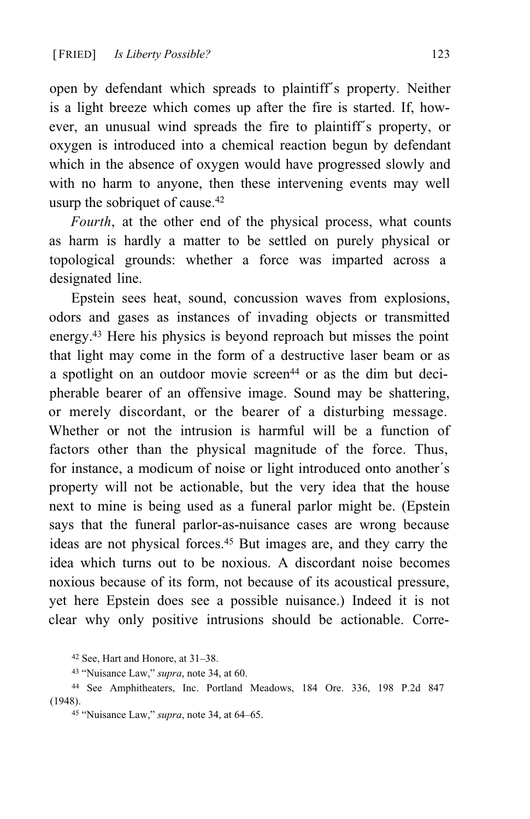open by defendant which spreads to plaintiff´s property. Neither is a light breeze which comes up after the fire is started. If, however, an unusual wind spreads the fire to plaintiff´s property, or oxygen is introduced into a chemical reaction begun by defendant which in the absence of oxygen would have progressed slowly and with no harm to anyone, then these intervening events may well usurp the sobriquet of cause.42

*Fourth*, at the other end of the physical process, what counts as harm is hardly a matter to be settled on purely physical or topological grounds: whether a force was imparted across a designated line.

Epstein sees heat, sound, concussion waves from explosions, odors and gases as instances of invading objects or transmitted energy.43 Here his physics is beyond reproach but misses the point that light may come in the form of a destructive laser beam or as a spotlight on an outdoor movie screen<sup>44</sup> or as the dim but decipherable bearer of an offensive image. Sound may be shattering, or merely discordant, or the bearer of a disturbing message. Whether or not the intrusion is harmful will be a function of factors other than the physical magnitude of the force. Thus, for instance, a modicum of noise or light introduced onto another´s property will not be actionable, but the very idea that the house next to mine is being used as a funeral parlor might be. (Epstein says that the funeral parlor-as-nuisance cases are wrong because ideas are not physical forces.45 But images are, and they carry the idea which turns out to be noxious. A discordant noise becomes noxious because of its form, not because of its acoustical pressure, yet here Epstein does see a possible nuisance.) Indeed it is not clear why only positive intrusions should be actionable. Corre-

<sup>42</sup> See, Hart and Honore, at 31–38.

<sup>43 &</sup>quot;Nuisance Law," *supra*, note 34, at 60.

<sup>44</sup> See Amphitheaters, Inc. Portland Meadows, 184 Ore. 336, 198 P.2d 847 (1948).

<sup>45 &</sup>quot;Nuisance Law," *supra*, note 34, at 64–65.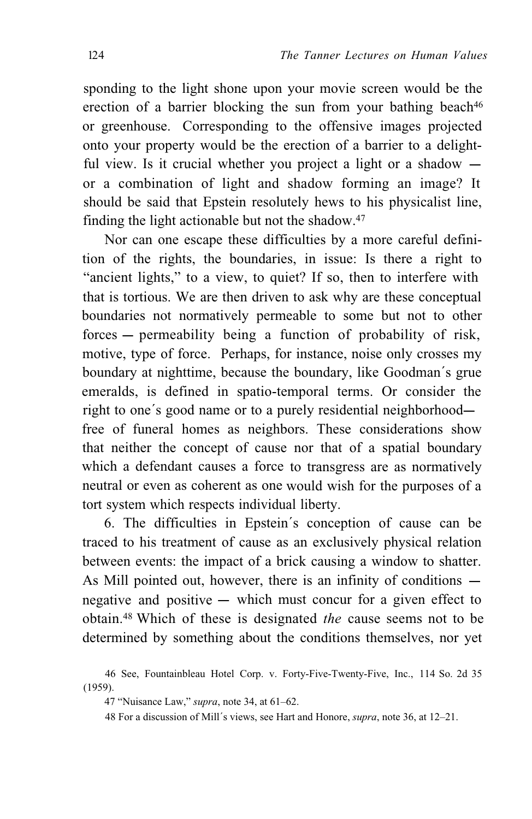sponding to the light shone upon your movie screen would be the erection of a barrier blocking the sun from your bathing beach<sup>46</sup> or greenhouse. Corresponding to the offensive images projected onto your property would be the erection of a barrier to a delightful view. Is it crucial whether you project a light or a shadow  $$ or a combination of light and shadow forming an image? It should be said that Epstein resolutely hews to his physicalist line, finding the light actionable but not the shadow.47

Nor can one escape these difficulties by a more careful definition of the rights, the boundaries, in issue: Is there a right to "ancient lights," to a view, to quiet? If so, then to interfere with that is tortious. We are then driven to ask why are these conceptual boundaries not normatively permeable to some but not to other forces - permeability being a function of probability of risk, motive, type of force. Perhaps, for instance, noise only crosses my boundary at nighttime, because the boundary, like Goodman´s grue emeralds, is defined in spatio-temporal terms. Or consider the right to one's good name or to a purely residential neighborhoodfree of funeral homes as neighbors. These considerations show that neither the concept of cause nor that of a spatial boundary which a defendant causes a force to transgress are as normatively neutral or even as coherent as one would wish for the purposes of a tort system which respects individual liberty.

6. The difficulties in Epstein´s conception of cause can be traced to his treatment of cause as an exclusively physical relation between events: the impact of a brick causing a window to shatter.<br>As Mill pointed out, however, there is an infinity of conditions — As Mill pointed out, however, there is an infinity of conditions  $-\blacksquare$ <br>negative and positive  $-\blacksquare$  which must concur for a given effect to obtain.48 Which of these is designated *the* cause seems not to be determined by something about the conditions themselves, nor yet

<sup>46</sup> See, Fountainbleau Hotel Corp. v. Forty-Five-Twenty-Five, Inc., 114 So. 2d 35 (1959).

<sup>47 &</sup>quot;Nuisance Law," *supra*, note 34, at 61–62.

<sup>48</sup> For a discussion of Mill´s views, see Hart and Honore, *supra*, note 36, at 12–21.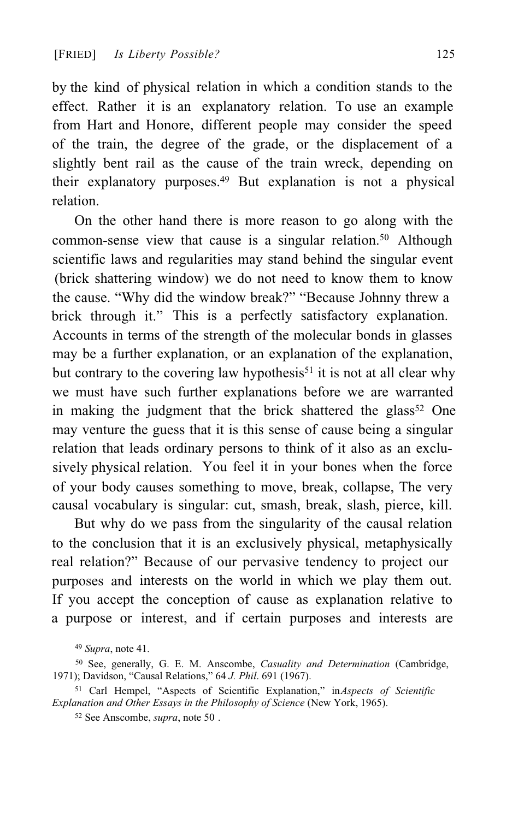by the kind of physical relation in which a condition stands to the effect. Rather it is an explanatory relation. To use an example from Hart and Honore, different people may consider the speed of the train, the degree of the grade, or the displacement of a slightly bent rail as the cause of the train wreck, depending on their explanatory purposes.49 But explanation is not a physical relation.

On the other hand there is more reason to go along with the common-sense view that cause is a singular relation.<sup>50</sup> Although scientific laws and regularities may stand behind the singular event (brick shattering window) we do not need to know them to know the cause. "Why did the window break?" "Because Johnny threw a brick through it." This is a perfectly satisfactory explanation. Accounts in terms of the strength of the molecular bonds in glasses may be a further explanation, or an explanation of the explanation, but contrary to the covering law hypothesis<sup>51</sup> it is not at all clear why we must have such further explanations before we are warranted in making the judgment that the brick shattered the glass<sup>52</sup> One may venture the guess that it is this sense of cause being a singular relation that leads ordinary persons to think of it also as an exclusively physical relation. You feel it in your bones when the force of your body causes something to move, break, collapse, The very causal vocabulary is singular: cut, smash, break, slash, pierce, kill.

But why do we pass from the singularity of the causal relation to the conclusion that it is an exclusively physical, metaphysically real relation?" Because of our pervasive tendency to project our purposes and interests on the world in which we play them out. If you accept the conception of cause as explanation relative to a purpose or interest, and if certain purposes and interests are

<sup>49</sup> *Supra*, note 41.

<sup>50</sup> See, generally, G. E. M. Anscombe, *Casuality and Determination* (Cambridge, 1971); Davidson, "Causal Relations," 64 *J. Phil*. 691 (1967).

<sup>51</sup> Carl Hempel, "Aspects of Scientific Explanation," in*Aspects of Scientific Explanation and Other Essays in the Philosophy of Science* (New York, 1965).

<sup>52</sup> See Anscombe, *supra*, note 50 .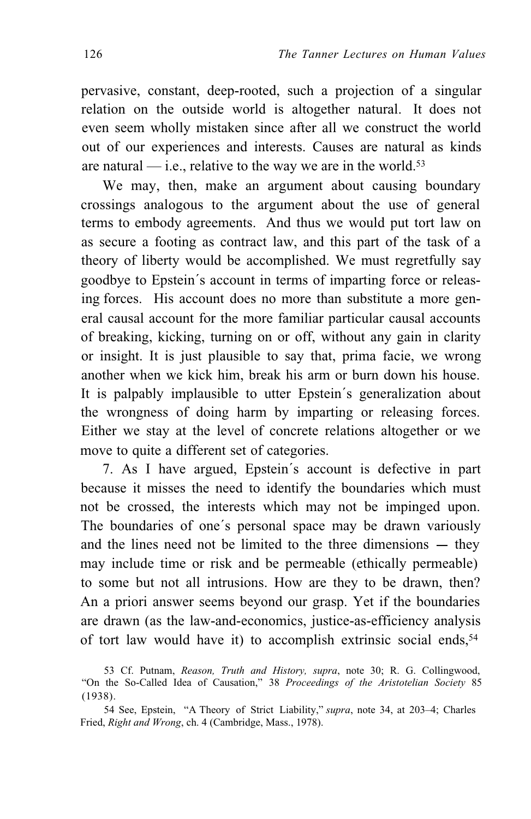pervasive, constant, deep-rooted, such a projection of a singular relation on the outside world is altogether natural. It does not even seem wholly mistaken since after all we construct the world out of our experiences and interests. Causes are natural as kinds are natural  $-$  i.e., relative to the way we are in the world.<sup>53</sup>

We may, then, make an argument about causing boundary crossings analogous to the argument about the use of general terms to embody agreements. And thus we would put tort law on as secure a footing as contract law, and this part of the task of a theory of liberty would be accomplished. We must regretfully say goodbye to Epstein´s account in terms of imparting force or releasing forces. His account does no more than substitute a more general causal account for the more familiar particular causal accounts of breaking, kicking, turning on or off, without any gain in clarity or insight. It is just plausible to say that, prima facie, we wrong another when we kick him, break his arm or burn down his house. It is palpably implausible to utter Epstein´s generalization about the wrongness of doing harm by imparting or releasing forces. Either we stay at the level of concrete relations altogether or we move to quite a different set of categories.

7. As I have argued, Epstein´s account is defective in part because it misses the need to identify the boundaries which must not be crossed, the interests which may not be impinged upon. The boundaries of one's personal space may be drawn variously and the lines need not be limited to the three dimensions — they may include time or risk and be permeable (ethically permeable) to some but not all intrusions. How are they to be drawn, then? An a priori answer seems beyond our grasp. Yet if the boundaries are drawn (as the law-and-economics, justice-as-efficiency analysis of tort law would have it) to accomplish extrinsic social ends,<sup>54</sup>

<sup>53</sup> Cf. Putnam, *Reason, Truth and History, supra*, note 30; R. G. Collingwood, "On the So-Called Idea of Causation," 38 *Proceedings of the Aristotelian Society* 85 (1938).

<sup>54</sup> See, Epstein, "A Theory of Strict Liability," *supra*, note 34, at 203–4; Charles Fried, *Right and Wrong*, ch. 4 (Cambridge, Mass., 1978).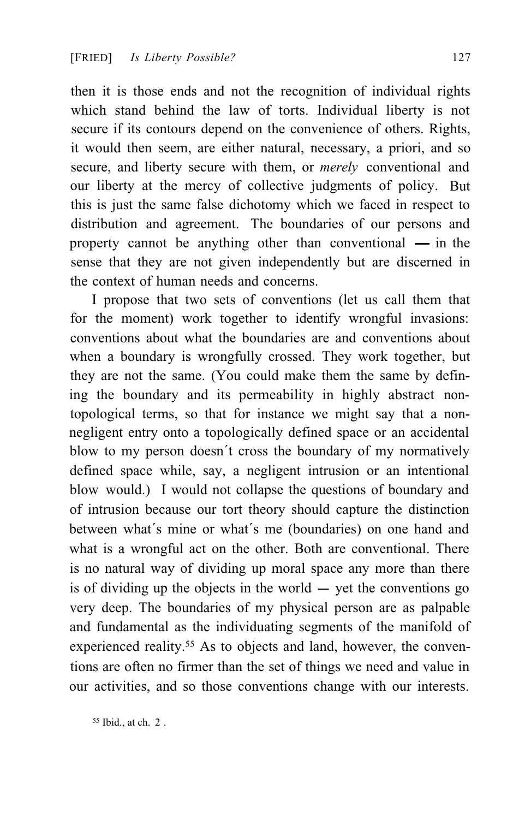then it is those ends and not the recognition of individual rights which stand behind the law of torts. Individual liberty is not secure if its contours depend on the convenience of others. Rights, it would then seem, are either natural, necessary, a priori, and so secure, and liberty secure with them, or *merely* conventional and our liberty at the mercy of collective judgments of policy. But this is just the same false dichotomy which we faced in respect to distribution and agreement. The boundaries of our persons and property cannot be anything other than conventional — in the sense that they are not given independently but are discerned in the context of human needs and concerns.

I propose that two sets of conventions (let us call them that for the moment) work together to identify wrongful invasions: conventions about what the boundaries are and conventions about when a boundary is wrongfully crossed. They work together, but they are not the same. (You could make them the same by defining the boundary and its permeability in highly abstract nontopological terms, so that for instance we might say that a nonnegligent entry onto a topologically defined space or an accidental blow to my person doesn´t cross the boundary of my normatively defined space while, say, a negligent intrusion or an intentional blow would.) I would not collapse the questions of boundary and of intrusion because our tort theory should capture the distinction between what´s mine or what´s me (boundaries) on one hand and what is a wrongful act on the other. Both are conventional. There is no natural way of dividing up moral space any more than there is of dividing up the objects in the world  $-$  yet the conventions go very deep. The boundaries of my physical person are as palpable and fundamental as the individuating segments of the manifold of experienced reality.<sup>55</sup> As to objects and land, however, the conventions are often no firmer than the set of things we need and value in our activities, and so those conventions change with our interests.

55 Ibid., at ch. 2 .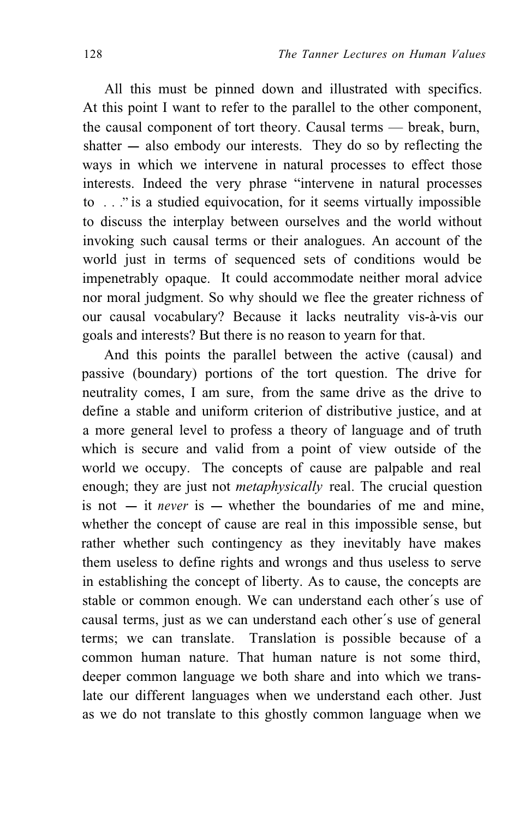All this must be pinned down and illustrated with specifics. At this point I want to refer to the parallel to the other component, the causal component of tort theory. Causal terms — break, burn, shatter — also embody our interests. They do so by reflecting the ways in which we intervene in natural processes to effect those interests. Indeed the very phrase "intervene in natural processes to . . ." is a studied equivocation, for it seems virtually impossible to discuss the interplay between ourselves and the world without invoking such causal terms or their analogues. An account of the world just in terms of sequenced sets of conditions would be impenetrably opaque. It could accommodate neither moral advice nor moral judgment. So why should we flee the greater richness of our causal vocabulary? Because it lacks neutrality vis-à-vis our goals and interests? But there is no reason to yearn for that.

And this points the parallel between the active (causal) and passive (boundary) portions of the tort question. The drive for neutrality comes, I am sure, from the same drive as the drive to define a stable and uniform criterion of distributive justice, and at a more general level to profess a theory of language and of truth which is secure and valid from a point of view outside of the world we occupy. The concepts of cause are palpable and real enough; they are just not *metaphysically* real. The crucial question is not  $-$  it *never* is  $-$  whether the boundaries of me and mine, whether the concept of cause are real in this impossible sense, but rather whether such contingency as they inevitably have makes them useless to define rights and wrongs and thus useless to serve in establishing the concept of liberty. As to cause, the concepts are stable or common enough. We can understand each other´s use of causal terms, just as we can understand each other´s use of general terms; we can translate. Translation is possible because of a common human nature. That human nature is not some third, deeper common language we both share and into which we translate our different languages when we understand each other. Just as we do not translate to this ghostly common language when we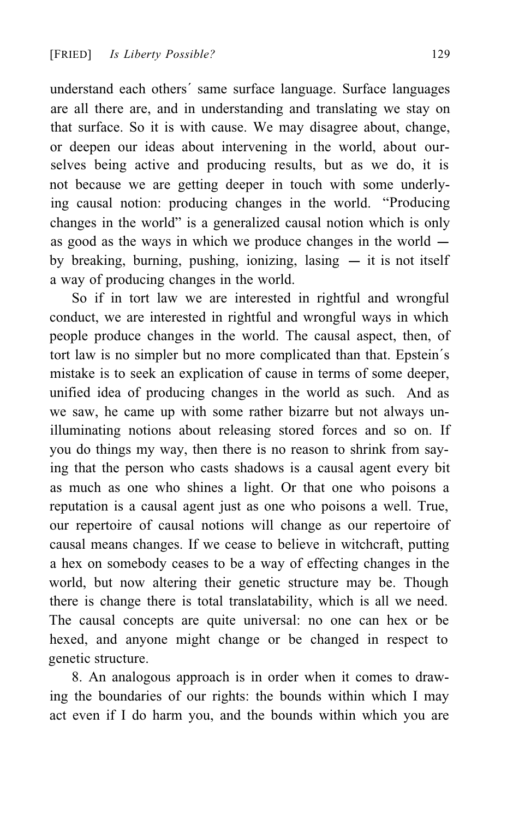understand each others´ same surface language. Surface languages are all there are, and in understanding and translating we stay on that surface. So it is with cause. We may disagree about, change, or deepen our ideas about intervening in the world, about ourselves being active and producing results, but as we do, it is not because we are getting deeper in touch with some underlying causal notion: producing changes in the world. "Producing changes in the world" is a generalized causal notion which is only as good as the ways in which we produce changes in the world  $$ as good as the ways in which we produce changes in the world  $-$ <br>by breaking, burning, pushing, ionizing, lasing  $-$  it is not itself a way of producing changes in the world.

So if in tort law we are interested in rightful and wrongful conduct, we are interested in rightful and wrongful ways in which people produce changes in the world. The causal aspect, then, of tort law is no simpler but no more complicated than that. Epstein´s mistake is to seek an explication of cause in terms of some deeper, unified idea of producing changes in the world as such. And as we saw, he came up with some rather bizarre but not always unilluminating notions about releasing stored forces and so on. If you do things my way, then there is no reason to shrink from saying that the person who casts shadows is a causal agent every bit as much as one who shines a light. Or that one who poisons a reputation is a causal agent just as one who poisons a well. True, our repertoire of causal notions will change as our repertoire of causal means changes. If we cease to believe in witchcraft, putting a hex on somebody ceases to be a way of effecting changes in the world, but now altering their genetic structure may be. Though there is change there is total translatability, which is all we need. The causal concepts are quite universal: no one can hex or be hexed, and anyone might change or be changed in respect to genetic structure.

8. An analogous approach is in order when it comes to drawing the boundaries of our rights: the bounds within which I may act even if I do harm you, and the bounds within which you are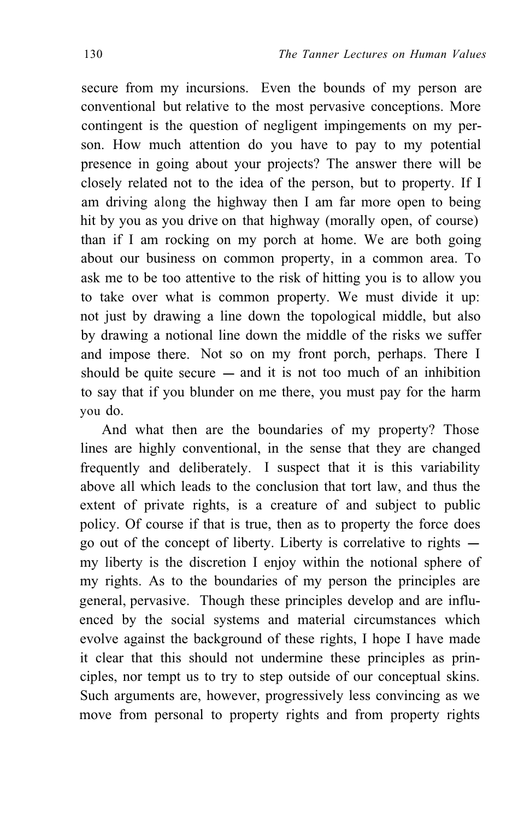secure from my incursions. Even the bounds of my person are conventional but relative to the most pervasive conceptions. More contingent is the question of negligent impingements on my person. How much attention do you have to pay to my potential presence in going about your projects? The answer there will be closely related not to the idea of the person, but to property. If I am driving along the highway then I am far more open to being hit by you as you drive on that highway (morally open, of course) than if I am rocking on my porch at home. We are both going about our business on common property, in a common area. To ask me to be too attentive to the risk of hitting you is to allow you to take over what is common property. We must divide it up: not just by drawing a line down the topological middle, but also by drawing a notional line down the middle of the risks we suffer and impose there. Not so on my front porch, perhaps. There I should be quite secure  $-$  and it is not too much of an inhibition to say that if you blunder on me there, you must pay for the harm you do.

And what then are the boundaries of my property? Those lines are highly conventional, in the sense that they are changed frequently and deliberately. I suspect that it is this variability above all which leads to the conclusion that tort law, and thus the extent of private rights, is a creature of and subject to public policy. Of course if that is true, then as to property the force does go out of the concept of liberty. Liberty is correlative to rights  $$ my liberty is the discretion I enjoy within the notional sphere of my rights. As to the boundaries of my person the principles are general, pervasive. Though these principles develop and are influenced by the social systems and material circumstances which evolve against the background of these rights, I hope I have made it clear that this should not undermine these principles as principles, nor tempt us to try to step outside of our conceptual skins. Such arguments are, however, progressively less convincing as we move from personal to property rights and from property rights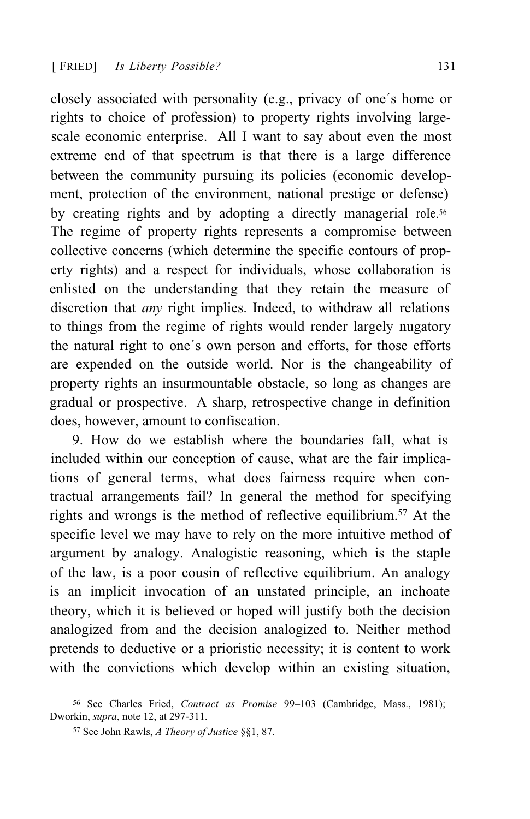closely associated with personality (e.g., privacy of one´s home or rights to choice of profession) to property rights involving largescale economic enterprise. All I want to say about even the most extreme end of that spectrum is that there is a large difference between the community pursuing its policies (economic development, protection of the environment, national prestige or defense) by creating rights and by adopting a directly managerial role.<sup>56</sup> The regime of property rights represents a compromise between collective concerns (which determine the specific contours of property rights) and a respect for individuals, whose collaboration is enlisted on the understanding that they retain the measure of discretion that *any* right implies. Indeed, to withdraw all relations to things from the regime of rights would render largely nugatory the natural right to one´s own person and efforts, for those efforts are expended on the outside world. Nor is the changeability of property rights an insurmountable obstacle, so long as changes are gradual or prospective. A sharp, retrospective change in definition does, however, amount to confiscation.

9. How do we establish where the boundaries fall, what is included within our conception of cause, what are the fair implications of general terms, what does fairness require when contractual arrangements fail? In general the method for specifying rights and wrongs is the method of reflective equilibrium.57 At the specific level we may have to rely on the more intuitive method of argument by analogy. Analogistic reasoning, which is the staple of the law, is a poor cousin of reflective equilibrium. An analogy is an implicit invocation of an unstated principle, an inchoate theory, which it is believed or hoped will justify both the decision analogized from and the decision analogized to. Neither method pretends to deductive or a prioristic necessity; it is content to work with the convictions which develop within an existing situation,

57 See John Rawls, *A Theory of Justice* §§1, 87.

<sup>56</sup> See Charles Fried, *Contract as Promise* 99–103 (Cambridge, Mass., 1981); Dworkin, *supra*, note 12, at 297-311.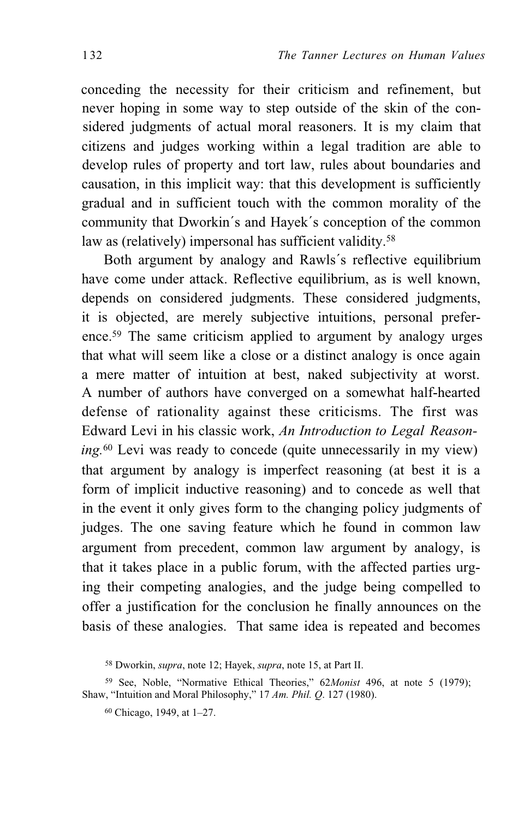conceding the necessity for their criticism and refinement, but never hoping in some way to step outside of the skin of the considered judgments of actual moral reasoners. It is my claim that citizens and judges working within a legal tradition are able to develop rules of property and tort law, rules about boundaries and causation, in this implicit way: that this development is sufficiently gradual and in sufficient touch with the common morality of the community that Dworkin´s and Hayek´s conception of the common law as (relatively) impersonal has sufficient validity.<sup>58</sup>

Both argument by analogy and Rawls´s reflective equilibrium have come under attack. Reflective equilibrium, as is well known, depends on considered judgments. These considered judgments, it is objected, are merely subjective intuitions, personal preference.59 The same criticism applied to argument by analogy urges that what will seem like a close or a distinct analogy is once again a mere matter of intuition at best, naked subjectivity at worst. A number of authors have converged on a somewhat half-hearted defense of rationality against these criticisms. The first was Edward Levi in his classic work, *An Introduction to Legal Reasoning.*60 Levi was ready to concede (quite unnecessarily in my view) that argument by analogy is imperfect reasoning (at best it is a form of implicit inductive reasoning) and to concede as well that in the event it only gives form to the changing policy judgments of judges. The one saving feature which he found in common law argument from precedent, common law argument by analogy, is that it takes place in a public forum, with the affected parties urging their competing analogies, and the judge being compelled to offer a justification for the conclusion he finally announces on the basis of these analogies. That same idea is repeated and becomes

<sup>58</sup> Dworkin, *supra*, note 12; Hayek, *supra*, note 15, at Part II.

<sup>59</sup> See, Noble, "Normative Ethical Theories," 62*Monist* 496, at note 5 (1979); Shaw, "Intuition and Moral Philosophy," 17 *Am. Phil. Q*. 127 (1980).

<sup>60</sup> Chicago, 1949, at 1–27.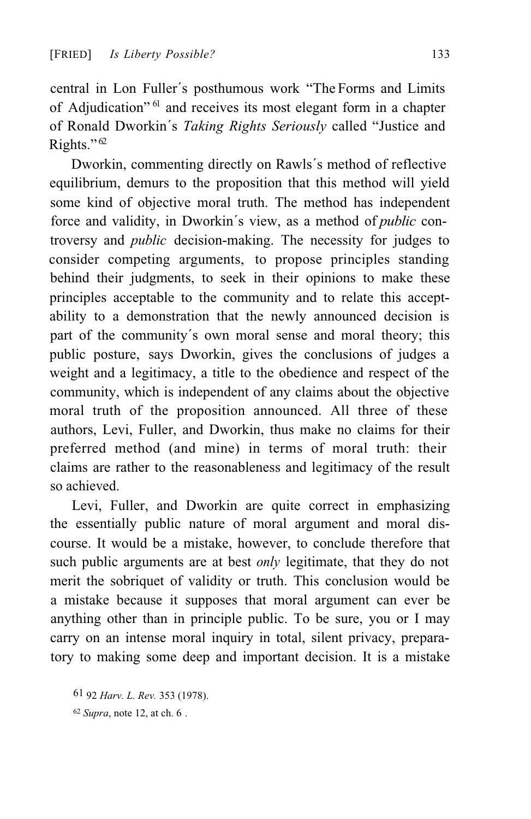central in Lon Fuller´s posthumous work "The Forms and Limits of Adjudication" <sup>61</sup> and receives its most elegant form in a chapter of Ronald Dworkin´s *Taking Rights Seriously* called "Justice and Rights." $^{62}$ 

Dworkin, commenting directly on Rawls´s method of reflective equilibrium, demurs to the proposition that this method will yield some kind of objective moral truth. The method has independent force and validity, in Dworkin´s view, as a method of *public* controversy and *public* decision-making. The necessity for judges to consider competing arguments, to propose principles standing behind their judgments, to seek in their opinions to make these principles acceptable to the community and to relate this acceptability to a demonstration that the newly announced decision is part of the community´s own moral sense and moral theory; this public posture, says Dworkin, gives the conclusions of judges a weight and a legitimacy, a title to the obedience and respect of the community, which is independent of any claims about the objective moral truth of the proposition announced. All three of these authors, Levi, Fuller, and Dworkin, thus make no claims for their preferred method (and mine) in terms of moral truth: their claims are rather to the reasonableness and legitimacy of the result so achieved.

Levi, Fuller, and Dworkin are quite correct in emphasizing the essentially public nature of moral argument and moral discourse. It would be a mistake, however, to conclude therefore that such public arguments are at best *only* legitimate, that they do not merit the sobriquet of validity or truth. This conclusion would be a mistake because it supposes that moral argument can ever be anything other than in principle public. To be sure, you or I may carry on an intense moral inquiry in total, silent privacy, preparatory to making some deep and important decision. It is a mistake

61 92 *Harv. L. Rev.* 353 (1978). <sup>62</sup> *Supra*, note 12, at ch. 6 .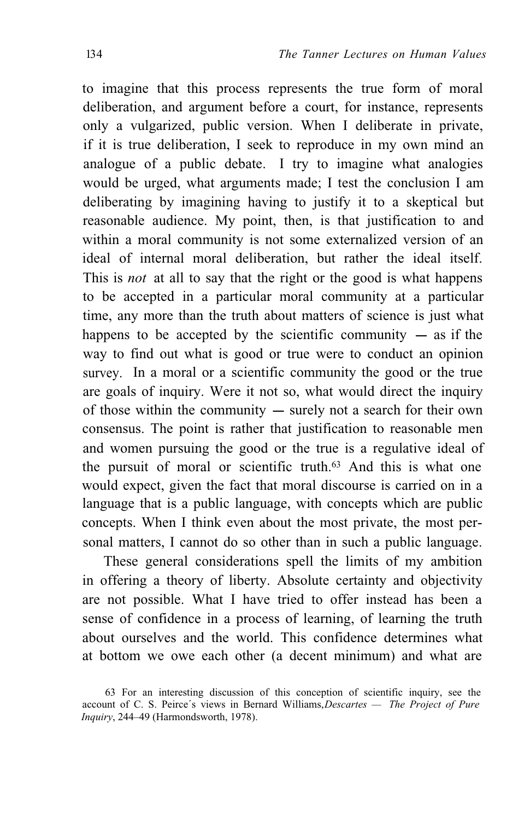to imagine that this process represents the true form of moral deliberation, and argument before a court, for instance, represents only a vulgarized, public version. When I deliberate in private, if it is true deliberation, I seek to reproduce in my own mind an analogue of a public debate. I try to imagine what analogies would be urged, what arguments made; I test the conclusion I am deliberating by imagining having to justify it to a skeptical but reasonable audience. My point, then, is that justification to and within a moral community is not some externalized version of an ideal of internal moral deliberation, but rather the ideal itself. This is *not* at all to say that the right or the good is what happens to be accepted in a particular moral community at a particular time, any more than the truth about matters of science is just what happens to be accepted by the scientific community  $-$  as if the way to find out what is good or true were to conduct an opinion survey. In a moral or a scientific community the good or the true are goals of inquiry. Were it not so, what would direct the inquiry of those within the community — surely not a search for their own consensus. The point is rather that justification to reasonable men and women pursuing the good or the true is a regulative ideal of the pursuit of moral or scientific truth.63 And this is what one would expect, given the fact that moral discourse is carried on in a language that is a public language, with concepts which are public concepts. When I think even about the most private, the most personal matters, I cannot do so other than in such a public language.

These general considerations spell the limits of my ambition in offering a theory of liberty. Absolute certainty and objectivity are not possible. What I have tried to offer instead has been a sense of confidence in a process of learning, of learning the truth about ourselves and the world. This confidence determines what at bottom we owe each other (a decent minimum) and what are

<sup>63</sup> For an interesting discussion of this conception of scientific inquiry, see the account of C. S. Peirce´s views in Bernard Williams,*Descartes — The Project of Pure Inquiry*, 244–49 (Harmondsworth, 1978).